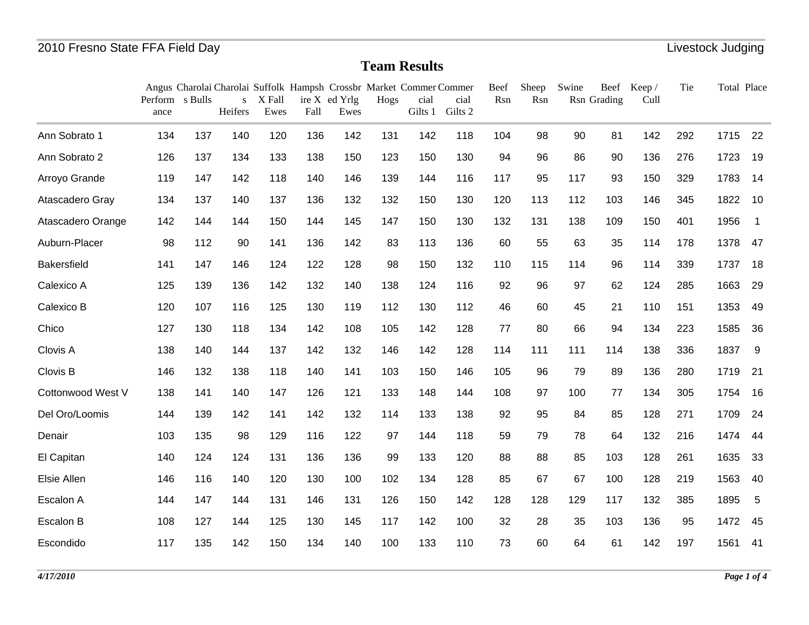|                    | Perform s Bulls<br>ance |     | S<br>Heifers | X Fall<br>Ewes | Fall | Angus Charolai Charolai Suffolk Hampsh Crossbr Market Commer Commer<br>ire X ed Yrlg<br>Ewes | Hogs | cial<br>Gilts 1 | cial<br>Gilts 2 | Beef<br>Rsn | Sheep<br>Rsn | Swine | Rsn Grading | Beef Keep/<br>Cull | Tie | Total Place |                          |
|--------------------|-------------------------|-----|--------------|----------------|------|----------------------------------------------------------------------------------------------|------|-----------------|-----------------|-------------|--------------|-------|-------------|--------------------|-----|-------------|--------------------------|
| Ann Sobrato 1      | 134                     | 137 | 140          | 120            | 136  | 142                                                                                          | 131  | 142             | 118             | 104         | 98           | 90    | 81          | 142                | 292 | 1715        | 22                       |
| Ann Sobrato 2      | 126                     | 137 | 134          | 133            | 138  | 150                                                                                          | 123  | 150             | 130             | 94          | 96           | 86    | 90          | 136                | 276 | 1723        | 19                       |
| Arroyo Grande      | 119                     | 147 | 142          | 118            | 140  | 146                                                                                          | 139  | 144             | 116             | 117         | 95           | 117   | 93          | 150                | 329 | 1783        | 14                       |
| Atascadero Gray    | 134                     | 137 | 140          | 137            | 136  | 132                                                                                          | 132  | 150             | 130             | 120         | 113          | 112   | 103         | 146                | 345 | 1822        | 10                       |
| Atascadero Orange  | 142                     | 144 | 144          | 150            | 144  | 145                                                                                          | 147  | 150             | 130             | 132         | 131          | 138   | 109         | 150                | 401 | 1956        | $\overline{\phantom{0}}$ |
| Auburn-Placer      | 98                      | 112 | 90           | 141            | 136  | 142                                                                                          | 83   | 113             | 136             | 60          | 55           | 63    | 35          | 114                | 178 | 1378        | 47                       |
| <b>Bakersfield</b> | 141                     | 147 | 146          | 124            | 122  | 128                                                                                          | 98   | 150             | 132             | 110         | 115          | 114   | 96          | 114                | 339 | 1737        | 18                       |
| Calexico A         | 125                     | 139 | 136          | 142            | 132  | 140                                                                                          | 138  | 124             | 116             | 92          | 96           | 97    | 62          | 124                | 285 | 1663        | 29                       |
| Calexico B         | 120                     | 107 | 116          | 125            | 130  | 119                                                                                          | 112  | 130             | 112             | 46          | 60           | 45    | 21          | 110                | 151 | 1353        | 49                       |
| Chico              | 127                     | 130 | 118          | 134            | 142  | 108                                                                                          | 105  | 142             | 128             | 77          | 80           | 66    | 94          | 134                | 223 | 1585        | 36                       |
| Clovis A           | 138                     | 140 | 144          | 137            | 142  | 132                                                                                          | 146  | 142             | 128             | 114         | 111          | 111   | 114         | 138                | 336 | 1837        | -9                       |
| Clovis B           | 146                     | 132 | 138          | 118            | 140  | 141                                                                                          | 103  | 150             | 146             | 105         | 96           | 79    | 89          | 136                | 280 | 1719        | 21                       |
| Cottonwood West V  | 138                     | 141 | 140          | 147            | 126  | 121                                                                                          | 133  | 148             | 144             | 108         | 97           | 100   | 77          | 134                | 305 | 1754        | 16                       |
| Del Oro/Loomis     | 144                     | 139 | 142          | 141            | 142  | 132                                                                                          | 114  | 133             | 138             | 92          | 95           | 84    | 85          | 128                | 271 | 1709        | 24                       |
| Denair             | 103                     | 135 | 98           | 129            | 116  | 122                                                                                          | 97   | 144             | 118             | 59          | 79           | 78    | 64          | 132                | 216 | 1474        | 44                       |
| El Capitan         | 140                     | 124 | 124          | 131            | 136  | 136                                                                                          | 99   | 133             | 120             | 88          | 88           | 85    | 103         | 128                | 261 | 1635        | 33                       |
| Elsie Allen        | 146                     | 116 | 140          | 120            | 130  | 100                                                                                          | 102  | 134             | 128             | 85          | 67           | 67    | 100         | 128                | 219 | 1563        | 40                       |
| Escalon A          | 144                     | 147 | 144          | 131            | 146  | 131                                                                                          | 126  | 150             | 142             | 128         | 128          | 129   | 117         | 132                | 385 | 1895        | 5                        |
| Escalon B          | 108                     | 127 | 144          | 125            | 130  | 145                                                                                          | 117  | 142             | 100             | 32          | 28           | 35    | 103         | 136                | 95  | 1472        | 45                       |
| Escondido          | 117                     | 135 | 142          | 150            | 134  | 140                                                                                          | 100  | 133             | 110             | 73          | 60           | 64    | 61          | 142                | 197 | 1561 41     |                          |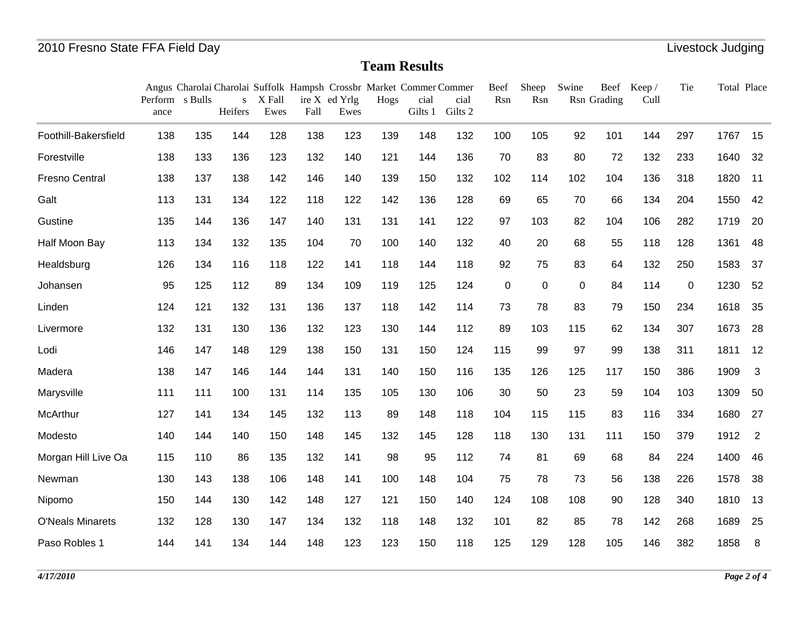|                         | Perform s Bulls |     | S              | X Fall      |             | Angus Charolai Charolai Suffolk Hampsh Crossbr Market Commer Commer<br>ire X ed Yrlg | Hogs | cial           | cial<br>Gilts 2 | Beef<br>Rsn | Sheep<br>Rsn | Swine | Rsn Grading | Beef Keep/<br>Cull | Tie | Total Place |                |
|-------------------------|-----------------|-----|----------------|-------------|-------------|--------------------------------------------------------------------------------------|------|----------------|-----------------|-------------|--------------|-------|-------------|--------------------|-----|-------------|----------------|
|                         | ance            | 135 | Heifers<br>144 | Ewes<br>128 | Fall<br>138 | Ewes                                                                                 |      | Gilts 1<br>148 | 132             | 100         | 105          |       |             |                    |     |             |                |
| Foothill-Bakersfield    | 138             |     |                |             |             | 123                                                                                  | 139  |                |                 |             |              | 92    | 101         | 144                | 297 | 1767        | 15             |
| Forestville             | 138             | 133 | 136            | 123         | 132         | 140                                                                                  | 121  | 144            | 136             | 70          | 83           | 80    | 72          | 132                | 233 | 1640        | 32             |
| <b>Fresno Central</b>   | 138             | 137 | 138            | 142         | 146         | 140                                                                                  | 139  | 150            | 132             | 102         | 114          | 102   | 104         | 136                | 318 | 1820        | 11             |
| Galt                    | 113             | 131 | 134            | 122         | 118         | 122                                                                                  | 142  | 136            | 128             | 69          | 65           | 70    | 66          | 134                | 204 | 1550        | 42             |
| Gustine                 | 135             | 144 | 136            | 147         | 140         | 131                                                                                  | 131  | 141            | 122             | 97          | 103          | 82    | 104         | 106                | 282 | 1719        | 20             |
| Half Moon Bay           | 113             | 134 | 132            | 135         | 104         | 70                                                                                   | 100  | 140            | 132             | 40          | 20           | 68    | 55          | 118                | 128 | 1361        | 48             |
| Healdsburg              | 126             | 134 | 116            | 118         | 122         | 141                                                                                  | 118  | 144            | 118             | 92          | 75           | 83    | 64          | 132                | 250 | 1583        | 37             |
| Johansen                | 95              | 125 | 112            | 89          | 134         | 109                                                                                  | 119  | 125            | 124             | $\mathbf 0$ | 0            | 0     | 84          | 114                | 0   | 1230        | 52             |
| Linden                  | 124             | 121 | 132            | 131         | 136         | 137                                                                                  | 118  | 142            | 114             | 73          | 78           | 83    | 79          | 150                | 234 | 1618        | 35             |
| Livermore               | 132             | 131 | 130            | 136         | 132         | 123                                                                                  | 130  | 144            | 112             | 89          | 103          | 115   | 62          | 134                | 307 | 1673        | 28             |
| Lodi                    | 146             | 147 | 148            | 129         | 138         | 150                                                                                  | 131  | 150            | 124             | 115         | 99           | 97    | 99          | 138                | 311 | 1811        | 12             |
| Madera                  | 138             | 147 | 146            | 144         | 144         | 131                                                                                  | 140  | 150            | 116             | 135         | 126          | 125   | 117         | 150                | 386 | 1909        | $\mathbf{3}$   |
| Marysville              | 111             | 111 | 100            | 131         | 114         | 135                                                                                  | 105  | 130            | 106             | 30          | 50           | 23    | 59          | 104                | 103 | 1309        | 50             |
| McArthur                | 127             | 141 | 134            | 145         | 132         | 113                                                                                  | 89   | 148            | 118             | 104         | 115          | 115   | 83          | 116                | 334 | 1680        | 27             |
| Modesto                 | 140             | 144 | 140            | 150         | 148         | 145                                                                                  | 132  | 145            | 128             | 118         | 130          | 131   | 111         | 150                | 379 | 1912        | $\overline{2}$ |
| Morgan Hill Live Oa     | 115             | 110 | 86             | 135         | 132         | 141                                                                                  | 98   | 95             | 112             | 74          | 81           | 69    | 68          | 84                 | 224 | 1400        | 46             |
| Newman                  | 130             | 143 | 138            | 106         | 148         | 141                                                                                  | 100  | 148            | 104             | 75          | 78           | 73    | 56          | 138                | 226 | 1578        | 38             |
| Nipomo                  | 150             | 144 | 130            | 142         | 148         | 127                                                                                  | 121  | 150            | 140             | 124         | 108          | 108   | 90          | 128                | 340 | 1810        | 13             |
| <b>O'Neals Minarets</b> | 132             | 128 | 130            | 147         | 134         | 132                                                                                  | 118  | 148            | 132             | 101         | 82           | 85    | 78          | 142                | 268 | 1689        | 25             |
| Paso Robles 1           | 144             | 141 | 134            | 144         | 148         | 123                                                                                  | 123  | 150            | 118             | 125         | 129          | 128   | 105         | 146                | 382 | 1858        | 8              |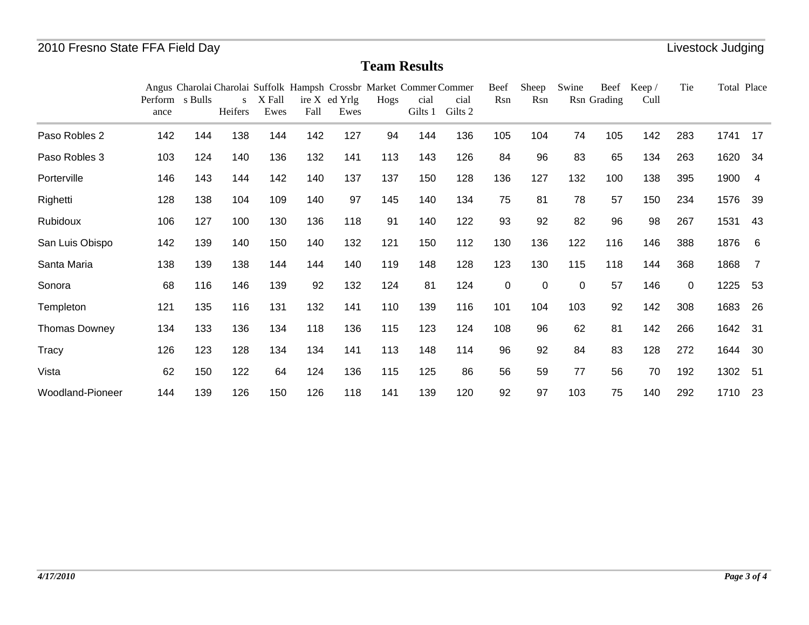|                         | Perform s Bulls |     | S       | X Fall |      | Angus Charolai Charolai Suffolk Hampsh Crossbr Market Commer Commer<br>ire X ed Yrlg | Hogs | cial    | cial    | Beef<br>Rsn | Sheep<br>Rsn | Swine | <b>Beef</b><br>Rsn Grading | Keep /<br>Cull | Tie         | Total Place |     |
|-------------------------|-----------------|-----|---------|--------|------|--------------------------------------------------------------------------------------|------|---------|---------|-------------|--------------|-------|----------------------------|----------------|-------------|-------------|-----|
|                         | ance            |     | Heifers | Ewes   | Fall | Ewes                                                                                 |      | Gilts 1 | Gilts 2 |             |              |       |                            |                |             |             |     |
| Paso Robles 2           | 142             | 144 | 138     | 144    | 142  | 127                                                                                  | 94   | 144     | 136     | 105         | 104          | 74    | 105                        | 142            | 283         | 1741        | 17  |
| Paso Robles 3           | 103             | 124 | 140     | 136    | 132  | 141                                                                                  | 113  | 143     | 126     | 84          | 96           | 83    | 65                         | 134            | 263         | 1620        | 34  |
| Porterville             | 146             | 143 | 144     | 142    | 140  | 137                                                                                  | 137  | 150     | 128     | 136         | 127          | 132   | 100                        | 138            | 395         | 1900        | 4   |
| Righetti                | 128             | 138 | 104     | 109    | 140  | 97                                                                                   | 145  | 140     | 134     | 75          | 81           | 78    | 57                         | 150            | 234         | 1576        | 39  |
| Rubidoux                | 106             | 127 | 100     | 130    | 136  | 118                                                                                  | 91   | 140     | 122     | 93          | 92           | 82    | 96                         | 98             | 267         | 1531        | 43  |
| San Luis Obispo         | 142             | 139 | 140     | 150    | 140  | 132                                                                                  | 121  | 150     | 112     | 130         | 136          | 122   | 116                        | 146            | 388         | 1876        | - 6 |
| Santa Maria             | 138             | 139 | 138     | 144    | 144  | 140                                                                                  | 119  | 148     | 128     | 123         | 130          | 115   | 118                        | 144            | 368         | 1868        |     |
| Sonora                  | 68              | 116 | 146     | 139    | 92   | 132                                                                                  | 124  | 81      | 124     | $\pmb{0}$   | 0            | 0     | 57                         | 146            | $\mathbf 0$ | 1225        | -53 |
| Templeton               | 121             | 135 | 116     | 131    | 132  | 141                                                                                  | 110  | 139     | 116     | 101         | 104          | 103   | 92                         | 142            | 308         | 1683        | 26  |
| <b>Thomas Downey</b>    | 134             | 133 | 136     | 134    | 118  | 136                                                                                  | 115  | 123     | 124     | 108         | 96           | 62    | 81                         | 142            | 266         | 1642        | -31 |
| <b>Tracy</b>            | 126             | 123 | 128     | 134    | 134  | 141                                                                                  | 113  | 148     | 114     | 96          | 92           | 84    | 83                         | 128            | 272         | 1644        | 30  |
| Vista                   | 62              | 150 | 122     | 64     | 124  | 136                                                                                  | 115  | 125     | 86      | 56          | 59           | 77    | 56                         | 70             | 192         | 1302        | 51  |
| <b>Woodland-Pioneer</b> | 144             | 139 | 126     | 150    | 126  | 118                                                                                  | 141  | 139     | 120     | 92          | 97           | 103   | 75                         | 140            | 292         | 1710        | 23  |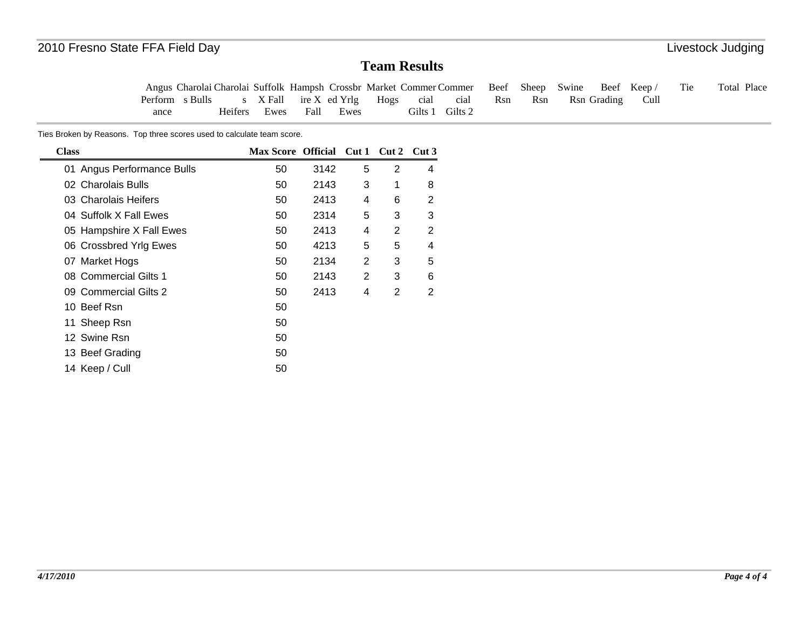Tie Total Place Angus Charolai Charolai Suffolk Hampsh Crossbr Market Commer Commer Perform s Bulls ance s X Fall Heifers Ewes ire X ed Yrlg Fall EwesHogs cial Gilts 1 Gilts 2 cial Beef Sheep Rsn Rsn Swine Rsn Grading Beef Keep / Cull

Ties Broken by Reasons. Top three scores used to calculate team score.

| <b>Class</b>               | Max Score Official Cut 1 Cut 2 |      |                |   | Cut3 |
|----------------------------|--------------------------------|------|----------------|---|------|
| 01 Angus Performance Bulls | 50                             | 3142 | 5              | 2 | 4    |
| 02 Charolais Bulls         | 50                             | 2143 | 3              | 1 | 8    |
| 03 Charolais Heifers       | 50                             | 2413 | 4              | 6 | 2    |
| 04 Suffolk X Fall Ewes     | 50                             | 2314 | 5              | 3 | 3    |
| 05 Hampshire X Fall Ewes   | 50                             | 2413 | 4              | 2 | 2    |
| 06 Crossbred Yrlg Ewes     | 50                             | 4213 | 5              | 5 | 4    |
| 07 Market Hogs             | 50                             | 2134 | 2              | 3 | 5    |
| 08 Commercial Gilts 1      | 50                             | 2143 | $\overline{2}$ | 3 | 6    |
| 09 Commercial Gilts 2      | 50                             | 2413 | 4              | 2 | 2    |
| 10 Beef Rsn                | 50                             |      |                |   |      |
| 11 Sheep Rsn               | 50                             |      |                |   |      |
| 12 Swine Rsn               | 50                             |      |                |   |      |
| 13 Beef Grading            | 50                             |      |                |   |      |
| 14 Keep / Cull             | 50                             |      |                |   |      |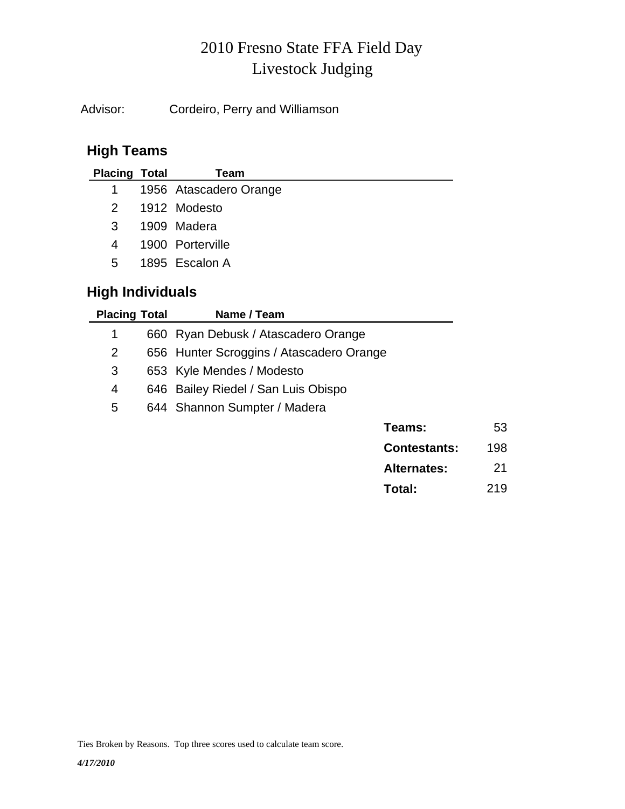# Livestock Judging 2010 Fresno State FFA Field Day

Advisor: Cordeiro, Perry and Williamson

# **High Teams**

| <b>Placing Total</b> | Team                   |
|----------------------|------------------------|
| $1 \quad$            | 1956 Atascadero Orange |
| 2                    | 1912 Modesto           |
| 3                    | 1909 Madera            |
| 4                    | 1900 Porterville       |
| 5.                   | 1895 Escalon A         |
|                      |                        |

# **High Individuals**

| <b>Placing Total</b> | Name / Team                              |                     |     |
|----------------------|------------------------------------------|---------------------|-----|
| 1                    | 660 Ryan Debusk / Atascadero Orange      |                     |     |
| $\overline{2}$       | 656 Hunter Scroggins / Atascadero Orange |                     |     |
| 3                    | 653 Kyle Mendes / Modesto                |                     |     |
| 4                    | 646 Bailey Riedel / San Luis Obispo      |                     |     |
| 5                    | 644 Shannon Sumpter / Madera             |                     |     |
|                      |                                          | Teams:              | 53  |
|                      |                                          | <b>Contestants:</b> | 198 |
|                      |                                          | <b>Alternates:</b>  | 21  |

**Total:** 219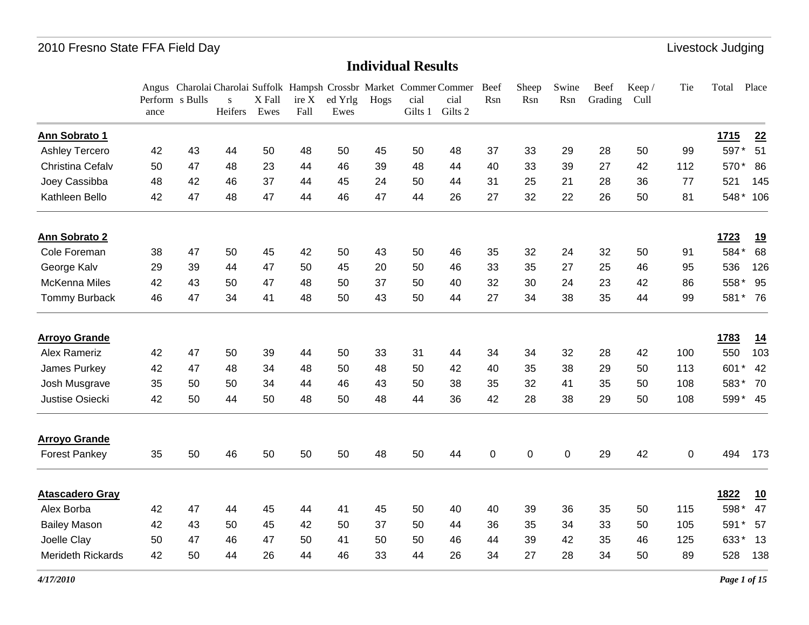|                          | Perform s Bulls<br>ance |    | S<br>Heifers | X Fall<br>Ewes | ire X<br>Fall | ed Yrlg<br>Ewes | Hogs | cial<br>Gilts 1 | Angus Charolai Charolai Suffolk Hampsh Crossbr Market Commer Commer Beef<br>cial<br>Gilts 2 | Rsn | Sheep<br>Rsn | Swine<br>Rsn | Beef<br>Grading | Keep/<br>Cull | Tie | Total       | Place     |
|--------------------------|-------------------------|----|--------------|----------------|---------------|-----------------|------|-----------------|---------------------------------------------------------------------------------------------|-----|--------------|--------------|-----------------|---------------|-----|-------------|-----------|
| Ann Sobrato 1            |                         |    |              |                |               |                 |      |                 |                                                                                             |     |              |              |                 |               |     | <u>1715</u> | 22        |
| Ashley Tercero           | 42                      | 43 | 44           | 50             | 48            | 50              | 45   | 50              | 48                                                                                          | 37  | 33           | 29           | 28              | 50            | 99  | 597*        | 51        |
| Christina Cefalv         | 50                      | 47 | 48           | 23             | 44            | 46              | 39   | 48              | 44                                                                                          | 40  | 33           | 39           | 27              | 42            | 112 | 570*        | 86        |
| Joey Cassibba            | 48                      | 42 | 46           | 37             | 44            | 45              | 24   | 50              | 44                                                                                          | 31  | 25           | 21           | 28              | 36            | 77  | 521         | 145       |
| Kathleen Bello           | 42                      | 47 | 48           | 47             | 44            | 46              | 47   | 44              | 26                                                                                          | 27  | 32           | 22           | 26              | 50            | 81  | 548*        | 106       |
| Ann Sobrato 2            |                         |    |              |                |               |                 |      |                 |                                                                                             |     |              |              |                 |               |     | 1723        | <u>19</u> |
| Cole Foreman             | 38                      | 47 | 50           | 45             | 42            | 50              | 43   | 50              | 46                                                                                          | 35  | 32           | 24           | 32              | 50            | 91  | 584*        | 68        |
| George Kalv              | 29                      | 39 | 44           | 47             | 50            | 45              | 20   | 50              | 46                                                                                          | 33  | 35           | 27           | 25              | 46            | 95  | 536         | 126       |
| <b>McKenna Miles</b>     | 42                      | 43 | 50           | 47             | 48            | 50              | 37   | 50              | 40                                                                                          | 32  | 30           | 24           | 23              | 42            | 86  | 558*        | 95        |
| <b>Tommy Burback</b>     | 46                      | 47 | 34           | 41             | 48            | 50              | 43   | 50              | 44                                                                                          | 27  | 34           | 38           | 35              | 44            | 99  | 581         | $*76$     |
| <b>Arroyo Grande</b>     |                         |    |              |                |               |                 |      |                 |                                                                                             |     |              |              |                 |               |     | 1783        | 14        |
| <b>Alex Rameriz</b>      | 42                      | 47 | 50           | 39             | 44            | 50              | 33   | 31              | 44                                                                                          | 34  | 34           | 32           | 28              | 42            | 100 | 550         | 103       |
| James Purkey             | 42                      | 47 | 48           | 34             | 48            | 50              | 48   | 50              | 42                                                                                          | 40  | 35           | 38           | 29              | 50            | 113 | 601         | 42        |
| Josh Musgrave            | 35                      | 50 | 50           | 34             | 44            | 46              | 43   | 50              | 38                                                                                          | 35  | 32           | 41           | 35              | 50            | 108 | 583*        | 70        |
| Justise Osiecki          | 42                      | 50 | 44           | 50             | 48            | 50              | 48   | 44              | 36                                                                                          | 42  | 28           | 38           | 29              | 50            | 108 | 599* 45     |           |
| <b>Arroyo Grande</b>     |                         |    |              |                |               |                 |      |                 |                                                                                             |     |              |              |                 |               |     |             |           |
| <b>Forest Pankey</b>     | 35                      | 50 | 46           | 50             | 50            | 50              | 48   | 50              | 44                                                                                          | 0   | 0            | 0            | 29              | 42            | 0   | 494         | 173       |
| <b>Atascadero Gray</b>   |                         |    |              |                |               |                 |      |                 |                                                                                             |     |              |              |                 |               |     | <u>1822</u> | 10        |
| Alex Borba               | 42                      | 47 | 44           | 45             | 44            | 41              | 45   | 50              | 40                                                                                          | 40  | 39           | 36           | 35              | 50            | 115 | 598         | 47        |
| <b>Bailey Mason</b>      | 42                      | 43 | 50           | 45             | 42            | 50              | 37   | 50              | 44                                                                                          | 36  | 35           | 34           | 33              | 50            | 105 | 591         | 57        |
| Joelle Clay              | 50                      | 47 | 46           | 47             | 50            | 41              | 50   | 50              | 46                                                                                          | 44  | 39           | 42           | 35              | 46            | 125 | 633*        | 13        |
| <b>Merideth Rickards</b> | 42                      | 50 | 44           | 26             | 44            | 46              | 33   | 44              | 26                                                                                          | 34  | 27           | 28           | 34              | 50            | 89  | 528         | 138       |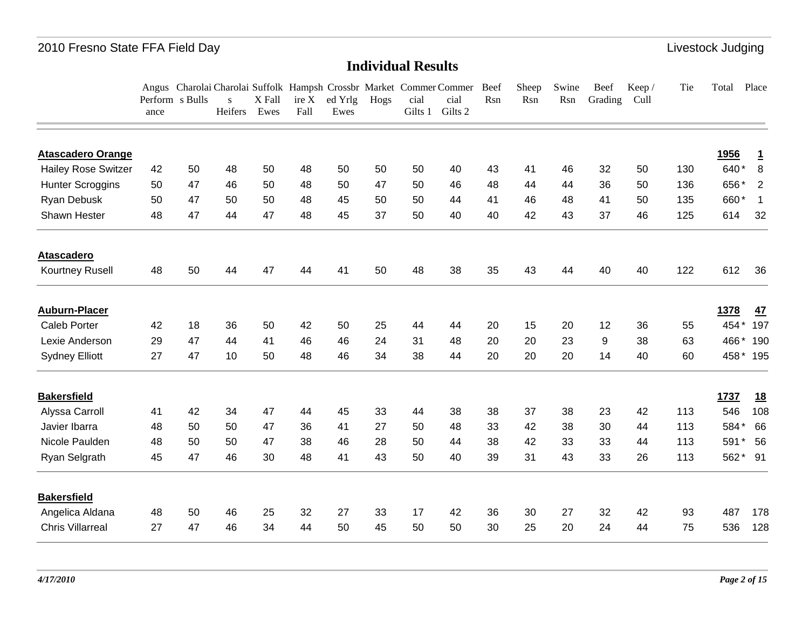|                            | ance | Perform s Bulls | S<br>Heifers | X Fall<br>Ewes | ire X<br>Fall | ed Yrlg<br>Ewes | Hogs | cial<br>Gilts 1 | Angus Charolai Charolai Suffolk Hampsh Crossbr Market Commer Commer<br>cial<br>Gilts 2 | Beef<br>Rsn | Sheep<br>Rsn | Swine<br>Rsn | Beef<br>Grading | Keep/<br>Cull | Tie | Total | Place          |
|----------------------------|------|-----------------|--------------|----------------|---------------|-----------------|------|-----------------|----------------------------------------------------------------------------------------|-------------|--------------|--------------|-----------------|---------------|-----|-------|----------------|
|                            |      |                 |              |                |               |                 |      |                 |                                                                                        |             |              |              |                 |               |     |       |                |
| <b>Atascadero Orange</b>   |      |                 |              |                |               |                 |      |                 |                                                                                        |             |              |              |                 |               |     | 1956  | <u>1</u>       |
| <b>Hailey Rose Switzer</b> | 42   | 50              | 48           | 50             | 48            | 50              | 50   | 50              | 40                                                                                     | 43          | 41           | 46           | 32              | 50            | 130 | 640*  | 8              |
| <b>Hunter Scroggins</b>    | 50   | 47              | 46           | 50             | 48            | 50              | 47   | 50              | 46                                                                                     | 48          | 44           | 44           | 36              | 50            | 136 | 656*  | $\overline{2}$ |
| Ryan Debusk                | 50   | 47              | 50           | 50             | 48            | 45              | 50   | 50              | 44                                                                                     | 41          | 46           | 48           | 41              | 50            | 135 | 660*  | $\overline{1}$ |
| Shawn Hester               | 48   | 47              | 44           | 47             | 48            | 45              | 37   | 50              | 40                                                                                     | 40          | 42           | 43           | 37              | 46            | 125 | 614   | 32             |
| <b>Atascadero</b>          |      |                 |              |                |               |                 |      |                 |                                                                                        |             |              |              |                 |               |     |       |                |
| Kourtney Rusell            | 48   | 50              | 44           | 47             | 44            | 41              | 50   | 48              | 38                                                                                     | 35          | 43           | 44           | 40              | 40            | 122 | 612   | 36             |
| <b>Auburn-Placer</b>       |      |                 |              |                |               |                 |      |                 |                                                                                        |             |              |              |                 |               |     | 1378  | 47             |
| <b>Caleb Porter</b>        | 42   | 18              | 36           | 50             | 42            | 50              | 25   | 44              | 44                                                                                     | 20          | 15           | 20           | 12              | 36            | 55  | 454*  | 197            |
| Lexie Anderson             | 29   | 47              | 44           | 41             | 46            | 46              | 24   | 31              | 48                                                                                     | 20          | 20           | 23           | 9               | 38            | 63  | 466*  | 190            |
| <b>Sydney Elliott</b>      | 27   | 47              | 10           | 50             | 48            | 46              | 34   | 38              | 44                                                                                     | 20          | 20           | 20           | 14              | 40            | 60  | 458*  | 195            |
| <b>Bakersfield</b>         |      |                 |              |                |               |                 |      |                 |                                                                                        |             |              |              |                 |               |     | 1737  | <u>18</u>      |
| Alyssa Carroll             | 41   | 42              | 34           | 47             | 44            | 45              | 33   | 44              | 38                                                                                     | 38          | 37           | 38           | 23              | 42            | 113 | 546   | 108            |
| Javier Ibarra              | 48   | 50              | 50           | 47             | 36            | 41              | 27   | 50              | 48                                                                                     | 33          | 42           | 38           | 30              | 44            | 113 | 584*  | 66             |
| Nicole Paulden             | 48   | 50              | 50           | 47             | 38            | 46              | 28   | 50              | 44                                                                                     | 38          | 42           | 33           | 33              | 44            | 113 | 591   | 56             |
| Ryan Selgrath              | 45   | 47              | 46           | 30             | 48            | 41              | 43   | 50              | 40                                                                                     | 39          | 31           | 43           | 33              | 26            | 113 |       | 562* 91        |
| <b>Bakersfield</b>         |      |                 |              |                |               |                 |      |                 |                                                                                        |             |              |              |                 |               |     |       |                |
| Angelica Aldana            | 48   | 50              | 46           | 25             | 32            | 27              | 33   | 17              | 42                                                                                     | 36          | 30           | 27           | 32              | 42            | 93  | 487   | 178            |
| <b>Chris Villarreal</b>    | 27   | 47              | 46           | 34             | 44            | 50              | 45   | 50              | 50                                                                                     | 30          | 25           | 20           | 24              | 44            | 75  | 536   | 128            |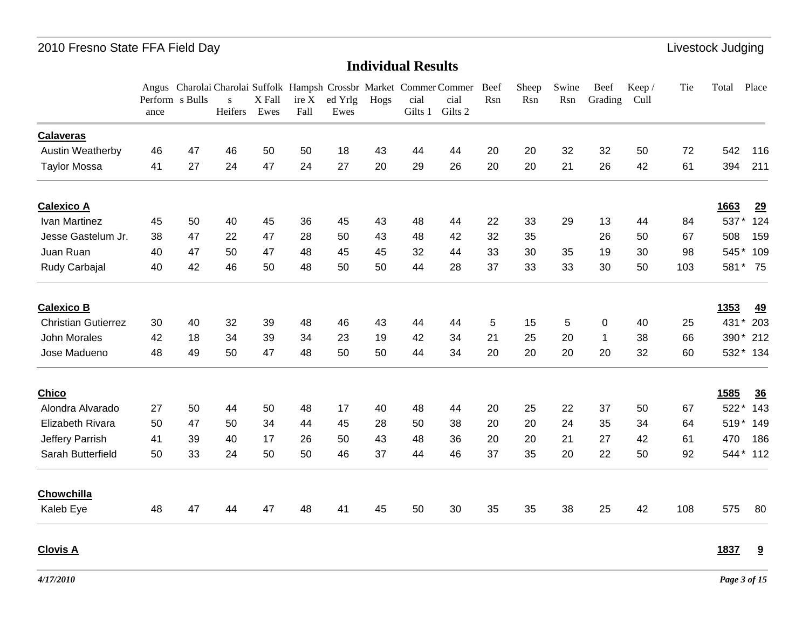### **Individual Results**

|                            |                         |    |                         |                |      |                         |      |                 | Angus Charolai Charolai Suffolk Hampsh Crossbr Market Commer Commer | Beef | Sheep | Swine | Beef        | Keep/ | Tie | Total  | Place     |
|----------------------------|-------------------------|----|-------------------------|----------------|------|-------------------------|------|-----------------|---------------------------------------------------------------------|------|-------|-------|-------------|-------|-----|--------|-----------|
|                            | Perform s Bulls<br>ance |    | $\mathbf{s}$<br>Heifers | X Fall<br>Ewes | Fall | $ire X$ ed Yrlg<br>Ewes | Hogs | cial<br>Gilts 1 | cial<br>Gilts 2                                                     | Rsn  | Rsn   | Rsn   | Grading     | Cull  |     |        |           |
| <b>Calaveras</b>           |                         |    |                         |                |      |                         |      |                 |                                                                     |      |       |       |             |       |     |        |           |
| <b>Austin Weatherby</b>    | 46                      | 47 | 46                      | 50             | 50   | 18                      | 43   | 44              | 44                                                                  | 20   | 20    | 32    | 32          | 50    | 72  | 542    | 116       |
| <b>Taylor Mossa</b>        | 41                      | 27 | 24                      | 47             | 24   | 27                      | 20   | 29              | 26                                                                  | 20   | 20    | 21    | 26          | 42    | 61  | 394    | 211       |
| <b>Calexico A</b>          |                         |    |                         |                |      |                         |      |                 |                                                                     |      |       |       |             |       |     | 1663   | 29        |
| Ivan Martinez              | 45                      | 50 | 40                      | 45             | 36   | 45                      | 43   | 48              | 44                                                                  | 22   | 33    | 29    | 13          | 44    | 84  | 537*   | 124       |
| Jesse Gastelum Jr.         | 38                      | 47 | 22                      | 47             | 28   | 50                      | 43   | 48              | 42                                                                  | 32   | 35    |       | 26          | 50    | 67  | 508    | 159       |
| Juan Ruan                  | 40                      | 47 | 50                      | 47             | 48   | 45                      | 45   | 32              | 44                                                                  | 33   | 30    | 35    | 19          | 30    | 98  | 545*   | 109       |
| Rudy Carbajal              | 40                      | 42 | 46                      | 50             | 48   | 50                      | 50   | 44              | 28                                                                  | 37   | 33    | 33    | 30          | 50    | 103 |        | 581* 75   |
| <b>Calexico B</b>          |                         |    |                         |                |      |                         |      |                 |                                                                     |      |       |       |             |       |     | 1353   | <u>49</u> |
| <b>Christian Gutierrez</b> | 30                      | 40 | 32                      | 39             | 48   | 46                      | 43   | 44              | 44                                                                  | 5    | 15    | 5     | 0           | 40    | 25  | 431*   | 203       |
| John Morales               | 42                      | 18 | 34                      | 39             | 34   | 23                      | 19   | 42              | 34                                                                  | 21   | 25    | 20    | $\mathbf 1$ | 38    | 66  |        | 390* 212  |
| Jose Madueno               | 48                      | 49 | 50                      | 47             | 48   | 50                      | 50   | 44              | 34                                                                  | 20   | 20    | 20    | 20          | 32    | 60  |        | 532* 134  |
| Chico                      |                         |    |                         |                |      |                         |      |                 |                                                                     |      |       |       |             |       |     | 1585   | 36        |
| Alondra Alvarado           | 27                      | 50 | 44                      | 50             | 48   | 17                      | 40   | 48              | 44                                                                  | 20   | 25    | 22    | 37          | 50    | 67  | 522*   | 143       |
| Elizabeth Rivara           | 50                      | 47 | 50                      | 34             | 44   | 45                      | 28   | 50              | 38                                                                  | 20   | 20    | 24    | 35          | 34    | 64  | $519*$ | 149       |
| Jeffery Parrish            | 41                      | 39 | 40                      | 17             | 26   | 50                      | 43   | 48              | 36                                                                  | 20   | 20    | 21    | 27          | 42    | 61  | 470    | 186       |
| Sarah Butterfield          | 50                      | 33 | 24                      | 50             | 50   | 46                      | 37   | 44              | 46                                                                  | 37   | 35    | 20    | 22          | 50    | 92  |        | 544* 112  |
| Chowchilla                 |                         |    |                         |                |      |                         |      |                 |                                                                     |      |       |       |             |       |     |        |           |
| Kaleb Eye                  | 48                      | 47 | 44                      | 47             | 48   | 41                      | 45   | 50              | 30                                                                  | 35   | 35    | 38    | 25          | 42    | 108 | 575    | 80        |

**Clovis A**

**1837 9**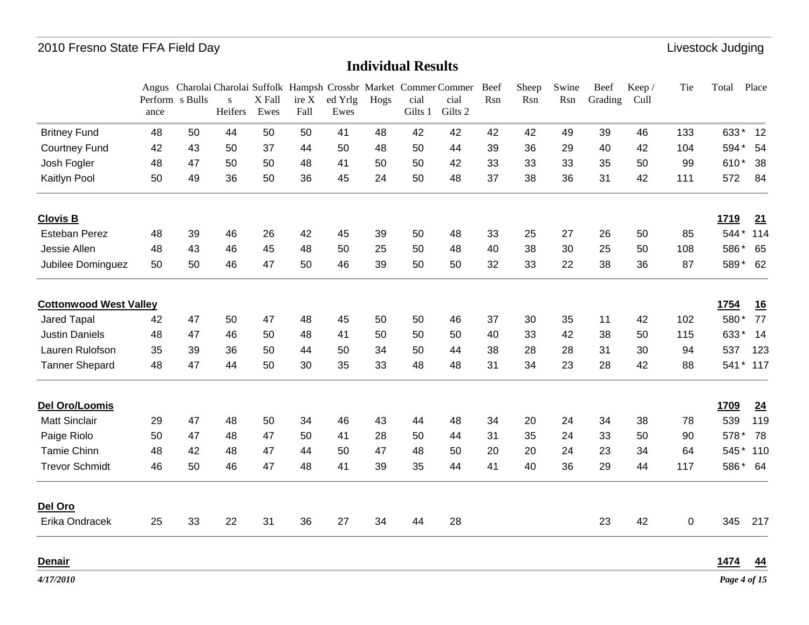### **Individual Results**

|                               |                         |    |              |                |               |                 |      |                 | Angus Charolai Charolai Suffolk Hampsh Crossbr Market Commer Commer | Beef | Sheep | Swine | Beef    | Keep / | Tie         | Total       | Place     |
|-------------------------------|-------------------------|----|--------------|----------------|---------------|-----------------|------|-----------------|---------------------------------------------------------------------|------|-------|-------|---------|--------|-------------|-------------|-----------|
|                               | Perform s Bulls<br>ance |    | S<br>Heifers | X Fall<br>Ewes | ire X<br>Fall | ed Yrlg<br>Ewes | Hogs | cial<br>Gilts 1 | cial<br>Gilts 2                                                     | Rsn  | Rsn   | Rsn   | Grading | Cull   |             |             |           |
| <b>Britney Fund</b>           | 48                      | 50 | 44           | 50             | 50            | 41              | 48   | 42              | 42                                                                  | 42   | 42    | 49    | 39      | 46     | 133         | 633*        | 12        |
| <b>Courtney Fund</b>          | 42                      | 43 | 50           | 37             | 44            | 50              | 48   | 50              | 44                                                                  | 39   | 36    | 29    | 40      | 42     | 104         | 594*        | 54        |
| Josh Fogler                   | 48                      | 47 | 50           | 50             | 48            | 41              | 50   | 50              | 42                                                                  | 33   | 33    | 33    | 35      | 50     | 99          | 610*        | 38        |
| Kaitlyn Pool                  | 50                      | 49 | 36           | 50             | 36            | 45              | 24   | 50              | 48                                                                  | 37   | 38    | 36    | 31      | 42     | 111         | 572         | 84        |
| <b>Clovis B</b>               |                         |    |              |                |               |                 |      |                 |                                                                     |      |       |       |         |        |             | <u>1719</u> | 21        |
| <b>Esteban Perez</b>          | 48                      | 39 | 46           | 26             | 42            | 45              | 39   | 50              | 48                                                                  | 33   | 25    | 27    | 26      | 50     | 85          |             | 544* 114  |
| Jessie Allen                  | 48                      | 43 | 46           | 45             | 48            | 50              | 25   | 50              | 48                                                                  | 40   | 38    | 30    | 25      | 50     | 108         | 586*        | 65        |
| Jubilee Dominguez             | 50                      | 50 | 46           | 47             | 50            | 46              | 39   | 50              | 50                                                                  | 32   | 33    | 22    | 38      | 36     | 87          | 589*        | 62        |
| <b>Cottonwood West Valley</b> |                         |    |              |                |               |                 |      |                 |                                                                     |      |       |       |         |        |             | 1754        | 16        |
| Jared Tapal                   | 42                      | 47 | 50           | 47             | 48            | 45              | 50   | 50              | 46                                                                  | 37   | 30    | 35    | 11      | 42     | 102         | 580*        | 77        |
| <b>Justin Daniels</b>         | 48                      | 47 | 46           | 50             | 48            | 41              | 50   | 50              | 50                                                                  | 40   | 33    | 42    | 38      | 50     | 115         | 633*        | 14        |
| Lauren Rulofson               | 35                      | 39 | 36           | 50             | 44            | 50              | 34   | 50              | 44                                                                  | 38   | 28    | 28    | 31      | 30     | 94          | 537         | 123       |
| <b>Tanner Shepard</b>         | 48                      | 47 | 44           | 50             | 30            | 35              | 33   | 48              | 48                                                                  | 31   | 34    | 23    | 28      | 42     | 88          |             | 541 * 117 |
| Del Oro/Loomis                |                         |    |              |                |               |                 |      |                 |                                                                     |      |       |       |         |        |             | 1709        | 24        |
| <b>Matt Sinclair</b>          | 29                      | 47 | 48           | 50             | 34            | 46              | 43   | 44              | 48                                                                  | 34   | 20    | 24    | 34      | 38     | 78          | 539         | 119       |
| Paige Riolo                   | 50                      | 47 | 48           | 47             | 50            | 41              | 28   | 50              | 44                                                                  | 31   | 35    | 24    | 33      | 50     | 90          | 578*        | 78        |
| <b>Tamie Chinn</b>            | 48                      | 42 | 48           | 47             | 44            | 50              | 47   | 48              | 50                                                                  | 20   | 20    | 24    | 23      | 34     | 64          |             | 545* 110  |
| <b>Trevor Schmidt</b>         | 46                      | 50 | 46           | 47             | 48            | 41              | 39   | 35              | 44                                                                  | 41   | 40    | 36    | 29      | 44     | 117         |             | 586* 64   |
| Del Oro                       |                         |    |              |                |               |                 |      |                 |                                                                     |      |       |       |         |        |             |             |           |
| Erika Ondracek                | 25                      | 33 | 22           | 31             | 36            | 27              | 34   | 44              | 28                                                                  |      |       |       | 23      | 42     | $\mathbf 0$ | 345         | 217       |
| <b>Denair</b>                 |                         |    |              |                |               |                 |      |                 |                                                                     |      |       |       |         |        |             | 1474        | 44        |

*4/17/2010*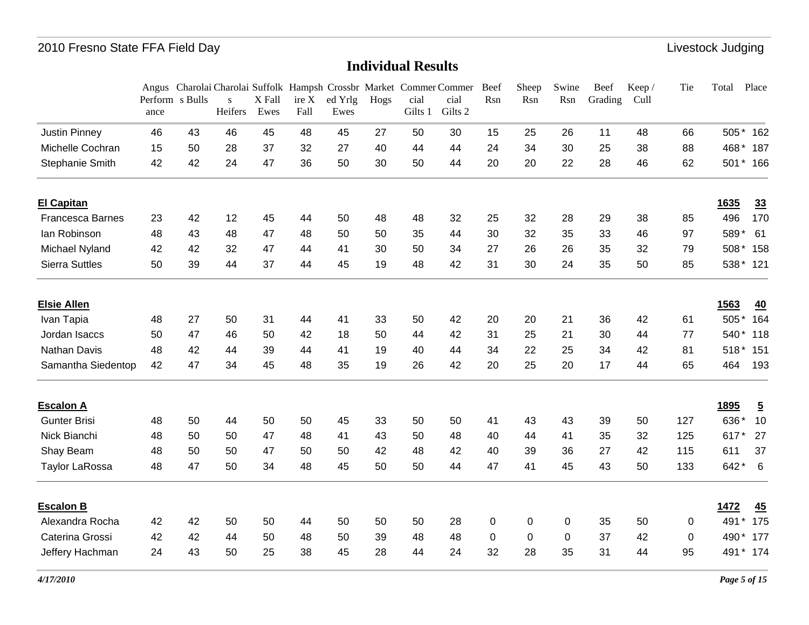|                         |      | Perform s Bulls | $\mathbf{s}$ | X Fall | ire X | ed Yrlg | Hogs | cial    | Angus Charolai Charolai Suffolk Hampsh Crossbr Market Commer Commer<br>cial | Beef<br>Rsn | Sheep<br>Rsn | Swine<br>Rsn | Beef<br>Grading | Keep/<br>Cull | Tie         | Total       | Place          |
|-------------------------|------|-----------------|--------------|--------|-------|---------|------|---------|-----------------------------------------------------------------------------|-------------|--------------|--------------|-----------------|---------------|-------------|-------------|----------------|
|                         | ance |                 | Heifers      | Ewes   | Fall  | Ewes    |      | Gilts 1 | Gilts 2                                                                     |             |              |              |                 |               |             |             |                |
| <b>Justin Pinney</b>    | 46   | 43              | 46           | 45     | 48    | 45      | 27   | 50      | 30                                                                          | 15          | 25           | 26           | 11              | 48            | 66          |             | 505* 162       |
| Michelle Cochran        | 15   | 50              | 28           | 37     | 32    | 27      | 40   | 44      | 44                                                                          | 24          | 34           | 30           | 25              | 38            | 88          | 468*        | 187            |
| Stephanie Smith         | 42   | 42              | 24           | 47     | 36    | 50      | 30   | 50      | 44                                                                          | 20          | 20           | 22           | 28              | 46            | 62          |             | 501* 166       |
| <b>El Capitan</b>       |      |                 |              |        |       |         |      |         |                                                                             |             |              |              |                 |               |             | 1635        | 33             |
| <b>Francesca Barnes</b> | 23   | 42              | 12           | 45     | 44    | 50      | 48   | 48      | 32                                                                          | 25          | 32           | 28           | 29              | 38            | 85          | 496         | 170            |
| lan Robinson            | 48   | 43              | 48           | 47     | 48    | 50      | 50   | 35      | 44                                                                          | 30          | 32           | 35           | 33              | 46            | 97          | 589*        | 61             |
| Michael Nyland          | 42   | 42              | 32           | 47     | 44    | 41      | 30   | 50      | 34                                                                          | 27          | 26           | 26           | 35              | 32            | 79          | 508*        | 158            |
| <b>Sierra Suttles</b>   | 50   | 39              | 44           | 37     | 44    | 45      | 19   | 48      | 42                                                                          | 31          | 30           | 24           | 35              | 50            | 85          |             | 538* 121       |
| <b>Elsie Allen</b>      |      |                 |              |        |       |         |      |         |                                                                             |             |              |              |                 |               |             | 1563        | 40             |
| Ivan Tapia              | 48   | 27              | 50           | 31     | 44    | 41      | 33   | 50      | 42                                                                          | 20          | 20           | 21           | 36              | 42            | 61          | 505         | *<br>164       |
| Jordan Isaccs           | 50   | 47              | 46           | 50     | 42    | 18      | 50   | 44      | 42                                                                          | 31          | 25           | 21           | 30              | 44            | 77          | 540*        | 118            |
| Nathan Davis            | 48   | 42              | 44           | 39     | 44    | 41      | 19   | 40      | 44                                                                          | 34          | 22           | 25           | 34              | 42            | 81          | $518*$      | 151            |
| Samantha Siedentop      | 42   | 47              | 34           | 45     | 48    | 35      | 19   | 26      | 42                                                                          | 20          | 25           | 20           | 17              | 44            | 65          | 464         | 193            |
| <b>Escalon A</b>        |      |                 |              |        |       |         |      |         |                                                                             |             |              |              |                 |               |             | <b>1895</b> | $\overline{5}$ |
| <b>Gunter Brisi</b>     | 48   | 50              | 44           | 50     | 50    | 45      | 33   | 50      | 50                                                                          | 41          | 43           | 43           | 39              | 50            | 127         | 636*        | 10             |
| Nick Bianchi            | 48   | 50              | 50           | 47     | 48    | 41      | 43   | 50      | 48                                                                          | 40          | 44           | 41           | 35              | 32            | 125         | 617*        | 27             |
| Shay Beam               | 48   | 50              | 50           | 47     | 50    | 50      | 42   | 48      | 42                                                                          | 40          | 39           | 36           | 27              | 42            | 115         | 611         | 37             |
| <b>Taylor LaRossa</b>   | 48   | 47              | 50           | 34     | 48    | 45      | 50   | 50      | 44                                                                          | 47          | 41           | 45           | 43              | 50            | 133         | 642*        | 6              |
| <b>Escalon B</b>        |      |                 |              |        |       |         |      |         |                                                                             |             |              |              |                 |               |             | 1472        | 45             |
| Alexandra Rocha         | 42   | 42              | 50           | 50     | 44    | 50      | 50   | 50      | 28                                                                          | $\mathbf 0$ | 0            | $\mathbf 0$  | 35              | 50            | 0           | 491         | $\star$<br>175 |
| Caterina Grossi         | 42   | 42              | 44           | 50     | 48    | 50      | 39   | 48      | 48                                                                          | $\mathbf 0$ | $\mathbf 0$  | $\mathbf 0$  | 37              | 42            | $\mathbf 0$ | 490*        | 177            |
| Jeffery Hachman         | 24   | 43              | 50           | 25     | 38    | 45      | 28   | 44      | 24                                                                          | 32          | 28           | 35           | 31              | 44            | 95          |             | 491 * 174      |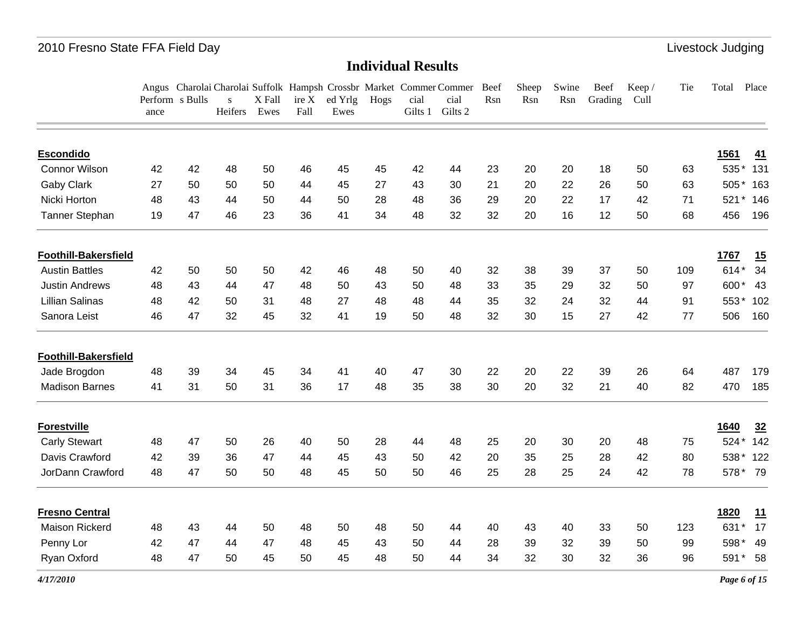#### **Individual Results**

|                             | ance | Perform s Bulls | S<br>Heifers | X Fall<br>Ewes | ire X<br>Fall | ed Yrlg<br>Ewes | Hogs | cial<br>Gilts 1 | Angus Charolai Charolai Suffolk Hampsh Crossbr Market Commer Commer Beef<br>cial<br>Gilts 2 | Rsn | Sheep<br>Rsn | Swine<br>Rsn | Beef<br>Grading | Keep/<br>Cull | Tie | Total | Place         |
|-----------------------------|------|-----------------|--------------|----------------|---------------|-----------------|------|-----------------|---------------------------------------------------------------------------------------------|-----|--------------|--------------|-----------------|---------------|-----|-------|---------------|
| <b>Escondido</b>            |      |                 |              |                |               |                 |      |                 |                                                                                             |     |              |              |                 |               |     | 1561  | 41            |
| <b>Connor Wilson</b>        | 42   | 42              | 48           | 50             | 46            | 45              | 45   | 42              | 44                                                                                          | 23  | 20           | 20           | 18              | 50            | 63  | 535*  | 131           |
| Gaby Clark                  | 27   | 50              | 50           | 50             | 44            | 45              | 27   | 43              | 30                                                                                          | 21  | 20           | 22           | 26              | 50            | 63  | 505*  | 163           |
| Nicki Horton                | 48   | 43              | 44           | 50             | 44            | 50              | 28   | 48              | 36                                                                                          | 29  | 20           | 22           | 17              | 42            | 71  | 521   | 146<br>$\ast$ |
| Tanner Stephan              | 19   | 47              | 46           | 23             | 36            | 41              | 34   | 48              | 32                                                                                          | 32  | 20           | 16           | 12              | 50            | 68  | 456   | 196           |
| <b>Foothill-Bakersfield</b> |      |                 |              |                |               |                 |      |                 |                                                                                             |     |              |              |                 |               |     | 1767  | 15            |
| <b>Austin Battles</b>       | 42   | 50              | 50           | 50             | 42            | 46              | 48   | 50              | 40                                                                                          | 32  | 38           | 39           | 37              | 50            | 109 | 614*  | 34            |
| <b>Justin Andrews</b>       | 48   | 43              | 44           | 47             | 48            | 50              | 43   | 50              | 48                                                                                          | 33  | 35           | 29           | 32              | 50            | 97  | 600*  | 43            |
| <b>Lillian Salinas</b>      | 48   | 42              | 50           | 31             | 48            | 27              | 48   | 48              | 44                                                                                          | 35  | 32           | 24           | 32              | 44            | 91  | 553*  | 102           |
| Sanora Leist                | 46   | 47              | 32           | 45             | 32            | 41              | 19   | 50              | 48                                                                                          | 32  | 30           | 15           | 27              | 42            | 77  | 506   | 160           |
| <b>Foothill-Bakersfield</b> |      |                 |              |                |               |                 |      |                 |                                                                                             |     |              |              |                 |               |     |       |               |
| Jade Brogdon                | 48   | 39              | 34           | 45             | 34            | 41              | 40   | 47              | 30                                                                                          | 22  | 20           | 22           | 39              | 26            | 64  | 487   | 179           |
| <b>Madison Barnes</b>       | 41   | 31              | 50           | 31             | 36            | 17              | 48   | 35              | 38                                                                                          | 30  | 20           | 32           | 21              | 40            | 82  | 470   | 185           |
| <b>Forestville</b>          |      |                 |              |                |               |                 |      |                 |                                                                                             |     |              |              |                 |               |     | 1640  | 32            |
| <b>Carly Stewart</b>        | 48   | 47              | 50           | 26             | 40            | 50              | 28   | 44              | 48                                                                                          | 25  | 20           | 30           | 20              | 48            | 75  | 524*  | 142           |
| Davis Crawford              | 42   | 39              | 36           | 47             | 44            | 45              | 43   | 50              | 42                                                                                          | 20  | 35           | 25           | 28              | 42            | 80  | 538*  | 122           |
| JorDann Crawford            | 48   | 47              | 50           | 50             | 48            | 45              | 50   | 50              | 46                                                                                          | 25  | 28           | 25           | 24              | 42            | 78  |       | 578* 79       |
| <b>Fresno Central</b>       |      |                 |              |                |               |                 |      |                 |                                                                                             |     |              |              |                 |               |     | 1820  | 11            |
| <b>Maison Rickerd</b>       | 48   | 43              | 44           | 50             | 48            | 50              | 48   | 50              | 44                                                                                          | 40  | 43           | 40           | 33              | 50            | 123 | 631   | 17            |
| Penny Lor                   | 42   | 47              | 44           | 47             | 48            | 45              | 43   | 50              | 44                                                                                          | 28  | 39           | 32           | 39              | 50            | 99  | 598*  | 49            |
| Ryan Oxford                 | 48   | 47              | 50           | 45             | 50            | 45              | 48   | 50              | 44                                                                                          | 34  | 32           | 30           | 32              | 36            | 96  | 591*  | 58            |

*4/17/2010*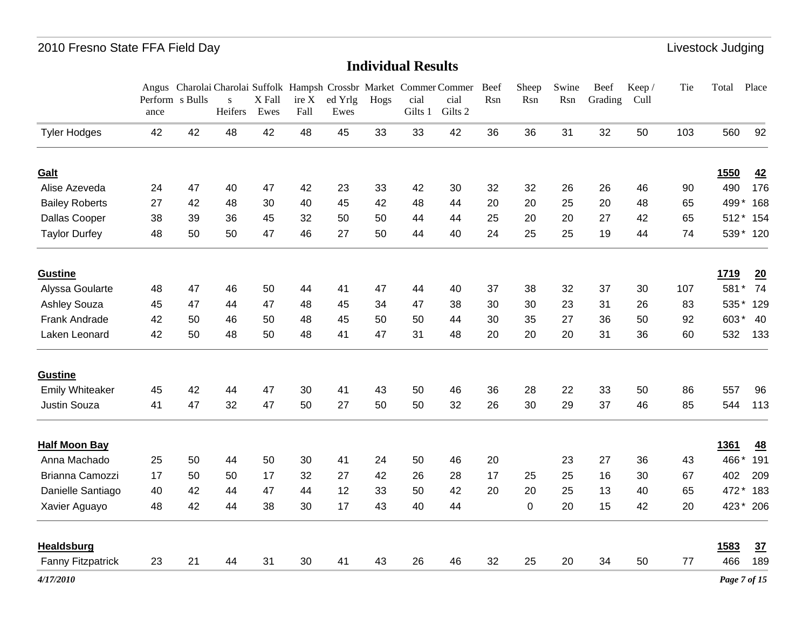|                        | Perform s Bulls<br>ance |    | $\mathbf{s}$<br>Heifers | X Fall<br>Ewes | ire X<br>Fall | ed Yrlg<br>Ewes | Hogs | cial<br>Gilts 1 | Angus Charolai Charolai Suffolk Hampsh Crossbr Market Commer Commer<br>cial<br>Gilts 2 | Beef<br>Rsn | Sheep<br>Rsn | Swine<br>Rsn | Beef<br>Grading | Keep/<br>Cull | Tie | Total          | Place    |
|------------------------|-------------------------|----|-------------------------|----------------|---------------|-----------------|------|-----------------|----------------------------------------------------------------------------------------|-------------|--------------|--------------|-----------------|---------------|-----|----------------|----------|
| <b>Tyler Hodges</b>    | 42                      | 42 | 48                      | 42             | 48            | 45              | 33   | 33              | 42                                                                                     | 36          | 36           | 31           | 32              | 50            | 103 | 560            | 92       |
| Galt                   |                         |    |                         |                |               |                 |      |                 |                                                                                        |             |              |              |                 |               |     | 1550           | 42       |
| Alise Azeveda          | 24                      | 47 | 40                      | 47             | 42            | 23              | 33   | 42              | 30                                                                                     | 32          | 32           | 26           | 26              | 46            | 90  | 490            | 176      |
| <b>Bailey Roberts</b>  | 27                      | 42 | 48                      | 30             | 40            | 45              | 42   | 48              | 44                                                                                     | 20          | 20           | 25           | 20              | 48            | 65  | 499            | 168      |
| Dallas Cooper          | 38                      | 39 | 36                      | 45             | 32            | 50              | 50   | 44              | 44                                                                                     | 25          | 20           | 20           | 27              | 42            | 65  | $512*$         | 154      |
| <b>Taylor Durfey</b>   | 48                      | 50 | 50                      | 47             | 46            | 27              | 50   | 44              | 40                                                                                     | 24          | 25           | 25           | 19              | 44            | 74  |                | 539* 120 |
| <b>Gustine</b>         |                         |    |                         |                |               |                 |      |                 |                                                                                        |             |              |              |                 |               |     | 1719           | 20       |
| Alyssa Goularte        | 48                      | 47 | 46                      | 50             | 44            | 41              | 47   | 44              | 40                                                                                     | 37          | 38           | 32           | 37              | 30            | 107 | 581<br>$\star$ | 74       |
| Ashley Souza           | 45                      | 47 | 44                      | 47             | 48            | 45              | 34   | 47              | 38                                                                                     | 30          | 30           | 23           | 31              | 26            | 83  | 535            | 129      |
| Frank Andrade          | 42                      | 50 | 46                      | 50             | 48            | 45              | 50   | 50              | 44                                                                                     | 30          | 35           | 27           | 36              | 50            | 92  | 603*           | 40       |
| Laken Leonard          | 42                      | 50 | 48                      | 50             | 48            | 41              | 47   | 31              | 48                                                                                     | 20          | 20           | 20           | 31              | 36            | 60  | 532            | 133      |
| <b>Gustine</b>         |                         |    |                         |                |               |                 |      |                 |                                                                                        |             |              |              |                 |               |     |                |          |
| <b>Emily Whiteaker</b> | 45                      | 42 | 44                      | 47             | 30            | 41              | 43   | 50              | 46                                                                                     | 36          | 28           | 22           | 33              | 50            | 86  | 557            | 96       |
| <b>Justin Souza</b>    | 41                      | 47 | 32                      | 47             | 50            | 27              | 50   | 50              | 32                                                                                     | 26          | 30           | 29           | 37              | 46            | 85  | 544            | 113      |
| <b>Half Moon Bay</b>   |                         |    |                         |                |               |                 |      |                 |                                                                                        |             |              |              |                 |               |     | <b>1361</b>    | 48       |
| Anna Machado           | 25                      | 50 | 44                      | 50             | 30            | 41              | 24   | 50              | 46                                                                                     | 20          |              | 23           | 27              | 36            | 43  | 466*           | 191      |
| Brianna Camozzi        | 17                      | 50 | 50                      | 17             | 32            | 27              | 42   | 26              | 28                                                                                     | 17          | 25           | 25           | 16              | 30            | 67  | 402            | 209      |
| Danielle Santiago      | 40                      | 42 | 44                      | 47             | 44            | 12              | 33   | 50              | 42                                                                                     | 20          | 20           | 25           | 13              | 40            | 65  | 472*           | 183      |
| Xavier Aguayo          | 48                      | 42 | 44                      | 38             | 30            | 17              | 43   | 40              | 44                                                                                     |             | $\pmb{0}$    | 20           | 15              | 42            | 20  | 423*           | 206      |
| <b>Healdsburg</b>      |                         |    |                         |                |               |                 |      |                 |                                                                                        |             |              |              |                 |               |     | 1583           | 37       |
| Fanny Fitzpatrick      | 23                      | 21 | 44                      | 31             | 30            | 41              | 43   | 26              | 46                                                                                     | 32          | 25           | 20           | 34              | 50            | 77  | 466            | 189      |
| 4/17/2010              |                         |    |                         |                |               |                 |      |                 |                                                                                        |             |              |              |                 |               |     | Page 7 of 15   |          |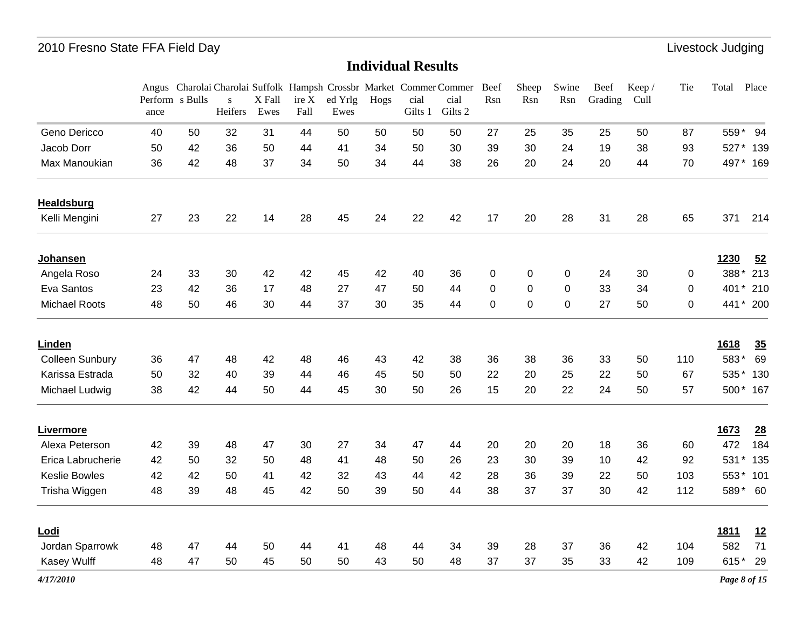|                        | ance | Perform s Bulls | $\mathbf{s}$<br>Heifers | X Fall<br>Ewes | ire X<br>Fall | ed Yrlg<br>Ewes | Hogs | cial<br>Gilts 1 | Angus Charolai Charolai Suffolk Hampsh Crossbr Market Commer Commer<br>cial<br>Gilts 2 | Beef<br>Rsn | Sheep<br>Rsn | Swine<br>Rsn | Beef<br>Grading | Keep /<br>Cull | Tie         | Total       | Place     |
|------------------------|------|-----------------|-------------------------|----------------|---------------|-----------------|------|-----------------|----------------------------------------------------------------------------------------|-------------|--------------|--------------|-----------------|----------------|-------------|-------------|-----------|
| Geno Dericco           | 40   | 50              | 32                      | 31             | 44            | 50              | 50   | 50              | 50                                                                                     | 27          | 25           | 35           | 25              | 50             | 87          |             | 559* 94   |
| Jacob Dorr             | 50   | 42              | 36                      | 50             | 44            | 41              | 34   | 50              | 30                                                                                     | 39          | 30           | 24           | 19              | 38             | 93          |             | 527* 139  |
| Max Manoukian          | 36   | 42              | 48                      | 37             | 34            | 50              | 34   | 44              | 38                                                                                     | 26          | 20           | 24           | 20              | 44             | 70          |             | 497* 169  |
| <b>Healdsburg</b>      |      |                 |                         |                |               |                 |      |                 |                                                                                        |             |              |              |                 |                |             |             |           |
| Kelli Mengini          | 27   | 23              | 22                      | 14             | 28            | 45              | 24   | 22              | 42                                                                                     | 17          | 20           | 28           | 31              | 28             | 65          | 371         | 214       |
| <b>Johansen</b>        |      |                 |                         |                |               |                 |      |                 |                                                                                        |             |              |              |                 |                |             | 1230        | 52        |
| Angela Roso            | 24   | 33              | 30                      | 42             | 42            | 45              | 42   | 40              | 36                                                                                     | 0           | 0            | 0            | 24              | 30             | $\mathbf 0$ | 388*        | 213       |
| Eva Santos             | 23   | 42              | 36                      | 17             | 48            | 27              | 47   | 50              | 44                                                                                     | $\mathbf 0$ | $\pmb{0}$    | $\mathbf 0$  | 33              | 34             | 0           |             | 401 * 210 |
| <b>Michael Roots</b>   | 48   | 50              | 46                      | 30             | 44            | 37              | 30   | 35              | 44                                                                                     | 0           | $\mathbf 0$  | $\pmb{0}$    | 27              | 50             | 0           |             | 441 * 200 |
| Linden                 |      |                 |                         |                |               |                 |      |                 |                                                                                        |             |              |              |                 |                |             | 1618        | 35        |
| <b>Colleen Sunbury</b> | 36   | 47              | 48                      | 42             | 48            | 46              | 43   | 42              | 38                                                                                     | 36          | 38           | 36           | 33              | 50             | 110         | 583*        | 69        |
| Karissa Estrada        | 50   | 32              | 40                      | 39             | 44            | 46              | 45   | 50              | 50                                                                                     | 22          | 20           | 25           | 22              | 50             | 67          |             | 535* 130  |
| Michael Ludwig         | 38   | 42              | 44                      | 50             | 44            | 45              | 30   | 50              | 26                                                                                     | 15          | 20           | 22           | 24              | 50             | 57          |             | 500* 167  |
| <b>Livermore</b>       |      |                 |                         |                |               |                 |      |                 |                                                                                        |             |              |              |                 |                |             | <u>1673</u> | 28        |
| Alexa Peterson         | 42   | 39              | 48                      | 47             | 30            | 27              | 34   | 47              | 44                                                                                     | 20          | 20           | 20           | 18              | 36             | 60          | 472         | 184       |
| Erica Labrucherie      | 42   | 50              | 32                      | 50             | 48            | 41              | 48   | 50              | 26                                                                                     | 23          | 30           | 39           | 10              | 42             | 92          | 531*        | 135       |
| <b>Keslie Bowles</b>   | 42   | 42              | 50                      | 41             | 42            | 32              | 43   | 44              | 42                                                                                     | 28          | 36           | 39           | 22              | 50             | 103         |             | 553* 101  |
| Trisha Wiggen          | 48   | 39              | 48                      | 45             | 42            | 50              | 39   | 50              | 44                                                                                     | 38          | 37           | 37           | 30              | 42             | 112         |             | 589* 60   |
| <u>Lodi</u>            |      |                 |                         |                |               |                 |      |                 |                                                                                        |             |              |              |                 |                |             | <u>1811</u> | 12        |
| Jordan Sparrowk        | 48   | 47              | 44                      | 50             | 44            | 41              | 48   | 44              | 34                                                                                     | 39          | 28           | 37           | 36              | 42             | 104         | 582         | 71        |
| Kasey Wulff            | 48   | 47              | 50                      | 45             | 50            | 50              | 43   | 50              | 48                                                                                     | 37          | 37           | 35           | 33              | 42             | 109         | 615*        | 29        |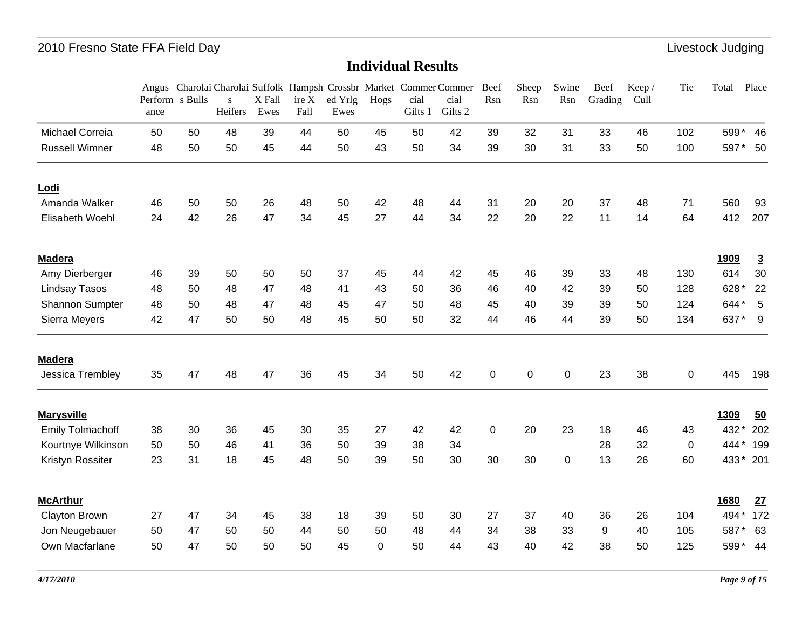|                         |      |                 |                         |                |               |                 |          |                 | Angus Charolai Charolai Suffolk Hampsh Crossbr Market Commer Commer | Beef        | Sheep       | Swine       | Beef    | Keep / | Tie         | Total       | Place          |
|-------------------------|------|-----------------|-------------------------|----------------|---------------|-----------------|----------|-----------------|---------------------------------------------------------------------|-------------|-------------|-------------|---------|--------|-------------|-------------|----------------|
|                         | ance | Perform s Bulls | $\mathbf{s}$<br>Heifers | X Fall<br>Ewes | ire X<br>Fall | ed Yrlg<br>Ewes | Hogs     | cial<br>Gilts 1 | cial<br>Gilts 2                                                     | Rsn         | Rsn         | Rsn         | Grading | Cull   |             |             |                |
| Michael Correia         | 50   | 50              | 48                      | 39             | 44            | 50              | 45       | 50              | 42                                                                  | 39          | 32          | 31          | 33      | 46     | 102         | 599*        | 46             |
| <b>Russell Wimner</b>   | 48   | 50              | 50                      | 45             | 44            | 50              | 43       | 50              | 34                                                                  | 39          | 30          | 31          | 33      | 50     | 100         | 597*        | 50             |
| Lodi                    |      |                 |                         |                |               |                 |          |                 |                                                                     |             |             |             |         |        |             |             |                |
| Amanda Walker           | 46   | 50              | 50                      | 26             | 48            | 50              | 42       | 48              | 44                                                                  | 31          | 20          | 20          | 37      | 48     | 71          | 560         | 93             |
| Elisabeth Woehl         | 24   | 42              | 26                      | 47             | 34            | 45              | 27       | 44              | 34                                                                  | 22          | 20          | 22          | 11      | 14     | 64          | 412         | 207            |
| <b>Madera</b>           |      |                 |                         |                |               |                 |          |                 |                                                                     |             |             |             |         |        |             | <u>1909</u> | $\overline{3}$ |
| Amy Dierberger          | 46   | 39              | 50                      | 50             | 50            | 37              | 45       | 44              | 42                                                                  | 45          | 46          | 39          | 33      | 48     | 130         | 614         | 30             |
| Lindsay Tasos           | 48   | 50              | 48                      | 47             | 48            | 41              | 43       | 50              | 36                                                                  | 46          | 40          | 42          | 39      | 50     | 128         | 628*        | 22             |
| Shannon Sumpter         | 48   | 50              | 48                      | 47             | 48            | 45              | 47       | 50              | 48                                                                  | 45          | 40          | 39          | 39      | 50     | 124         | 644*        | 5              |
| Sierra Meyers           | 42   | 47              | 50                      | 50             | 48            | 45              | 50       | 50              | 32                                                                  | 44          | 46          | 44          | 39      | 50     | 134         | 637*        | 9              |
| <b>Madera</b>           |      |                 |                         |                |               |                 |          |                 |                                                                     |             |             |             |         |        |             |             |                |
| Jessica Trembley        | 35   | 47              | 48                      | 47             | 36            | 45              | 34       | 50              | 42                                                                  | 0           | $\mathbf 0$ | $\mathbf 0$ | 23      | 38     | 0           | 445         | 198            |
| <b>Marysville</b>       |      |                 |                         |                |               |                 |          |                 |                                                                     |             |             |             |         |        |             | 1309        | 50             |
| <b>Emily Tolmachoff</b> | 38   | 30              | 36                      | 45             | 30            | 35              | 27       | 42              | 42                                                                  | $\mathbf 0$ | 20          | 23          | 18      | 46     | 43          | 432*        | 202            |
| Kourtnye Wilkinson      | 50   | 50              | 46                      | 41             | 36            | 50              | 39       | 38              | 34                                                                  |             |             |             | 28      | 32     | $\mathbf 0$ | $444*$      | 199            |
| Kristyn Rossiter        | 23   | 31              | 18                      | 45             | 48            | 50              | 39       | 50              | 30                                                                  | 30          | 30          | $\mathbf 0$ | 13      | 26     | 60          |             | 433* 201       |
| <b>McArthur</b>         |      |                 |                         |                |               |                 |          |                 |                                                                     |             |             |             |         |        |             | <b>1680</b> | 27             |
| Clayton Brown           | 27   | 47              | 34                      | 45             | 38            | 18              | 39       | 50              | 30                                                                  | 27          | 37          | 40          | 36      | 26     | 104         | 494*        | 172            |
| Jon Neugebauer          | 50   | 47              | 50                      | 50             | 44            | 50              | 50       | 48              | 44                                                                  | 34          | 38          | 33          | 9       | 40     | 105         | 587         | 63             |
| Own Macfarlane          | 50   | 47              | 50                      | 50             | 50            | 45              | $\Omega$ | 50              | 44                                                                  | 43          | 40          | 42          | 38      | 50     | 125         | 599*        | 44             |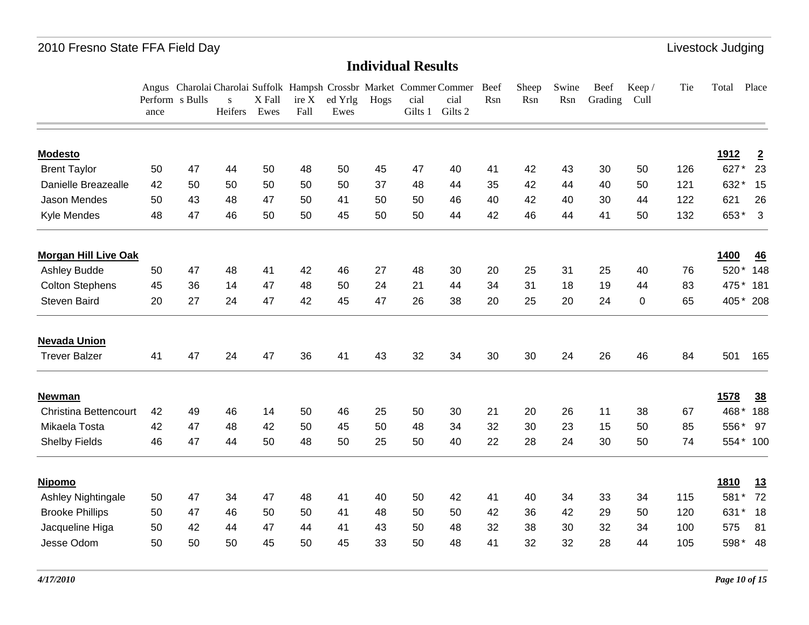|                              | Perform s Bulls<br>ance |    | S<br>Heifers | X Fall<br>Ewes | ire X<br>Fall | ed Yrlg<br>Ewes | Hogs | cial<br>Gilts 1 | Angus Charolai Charolai Suffolk Hampsh Crossbr Market Commer Commer Beef<br>cial<br>Gilts 2 | Rsn | Sheep<br>Rsn | Swine<br>Rsn | Beef<br>Grading | Keep /<br>Cull | Tie | Total       | Place           |
|------------------------------|-------------------------|----|--------------|----------------|---------------|-----------------|------|-----------------|---------------------------------------------------------------------------------------------|-----|--------------|--------------|-----------------|----------------|-----|-------------|-----------------|
| <b>Modesto</b>               |                         |    |              |                |               |                 |      |                 |                                                                                             |     |              |              |                 |                |     | <u>1912</u> | $\overline{2}$  |
| <b>Brent Taylor</b>          | 50                      | 47 | 44           | 50             | 48            | 50              | 45   | 47              | 40                                                                                          | 41  | 42           | 43           | 30              | 50             | 126 | 627         | 23              |
| Danielle Breazealle          | 42                      | 50 | 50           | 50             | 50            | 50              | 37   | 48              | 44                                                                                          | 35  | 42           | 44           | 40              | 50             | 121 | 632         | 15              |
| Jason Mendes                 | 50                      | 43 | 48           | 47             | 50            | 41              | 50   | 50              | 46                                                                                          | 40  | 42           | 40           | 30              | 44             | 122 | 621         | 26              |
| Kyle Mendes                  | 48                      | 47 | 46           | 50             | 50            | 45              | 50   | 50              | 44                                                                                          | 42  | 46           | 44           | 41              | 50             | 132 | 653*        | 3               |
| <b>Morgan Hill Live Oak</b>  |                         |    |              |                |               |                 |      |                 |                                                                                             |     |              |              |                 |                |     | 1400        | 46              |
| Ashley Budde                 | 50                      | 47 | 48           | 41             | 42            | 46              | 27   | 48              | 30                                                                                          | 20  | 25           | 31           | 25              | 40             | 76  | 520*        | 148             |
| <b>Colton Stephens</b>       | 45                      | 36 | 14           | 47             | 48            | 50              | 24   | 21              | 44                                                                                          | 34  | 31           | 18           | 19              | 44             | 83  | 475*        | 181             |
| Steven Baird                 | 20                      | 27 | 24           | 47             | 42            | 45              | 47   | 26              | 38                                                                                          | 20  | 25           | 20           | 24              | 0              | 65  | 405*        | 208             |
| <b>Nevada Union</b>          |                         |    |              |                |               |                 |      |                 |                                                                                             |     |              |              |                 |                |     |             |                 |
| <b>Trever Balzer</b>         | 41                      | 47 | 24           | 47             | 36            | 41              | 43   | 32              | 34                                                                                          | 30  | 30           | 24           | 26              | 46             | 84  | 501         | 165             |
| <b>Newman</b>                |                         |    |              |                |               |                 |      |                 |                                                                                             |     |              |              |                 |                |     | 1578        | $\frac{38}{5}$  |
| <b>Christina Bettencourt</b> | 42                      | 49 | 46           | 14             | 50            | 46              | 25   | 50              | 30                                                                                          | 21  | 20           | 26           | 11              | 38             | 67  | 468         | 188             |
| Mikaela Tosta                | 42                      | 47 | 48           | 42             | 50            | 45              | 50   | 48              | 34                                                                                          | 32  | 30           | 23           | 15              | 50             | 85  | 556*        | 97              |
| <b>Shelby Fields</b>         | 46                      | 47 | 44           | 50             | 48            | 50              | 25   | 50              | 40                                                                                          | 22  | 28           | 24           | 30              | 50             | 74  | 554*        | 100             |
| <b>Nipomo</b>                |                         |    |              |                |               |                 |      |                 |                                                                                             |     |              |              |                 |                |     | 1810        | $\overline{13}$ |
| Ashley Nightingale           | 50                      | 47 | 34           | 47             | 48            | 41              | 40   | 50              | 42                                                                                          | 41  | 40           | 34           | 33              | 34             | 115 | 581         | 72              |
| <b>Brooke Phillips</b>       | 50                      | 47 | 46           | 50             | 50            | 41              | 48   | 50              | 50                                                                                          | 42  | 36           | 42           | 29              | 50             | 120 | 631         | 18              |
| Jacqueline Higa              | 50                      | 42 | 44           | 47             | 44            | 41              | 43   | 50              | 48                                                                                          | 32  | 38           | 30           | 32              | 34             | 100 | 575         | 81              |
| Jesse Odom                   | 50                      | 50 | 50           | 45             | 50            | 45              | 33   | 50              | 48                                                                                          | 41  | 32           | 32           | 28              | 44             | 105 | 598*        | 48              |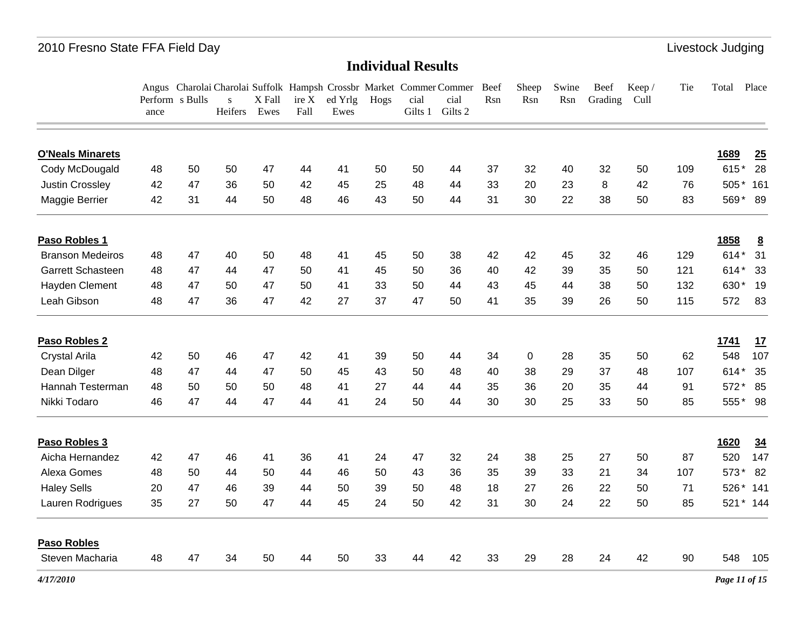|                         |      | Perform s Bulls | S       | X Fall | ire X | ed Yrlg | Hogs | cial    | Angus Charolai Charolai Suffolk Hampsh Crossbr Market Commer Commer Beef<br>cial | Rsn | Sheep<br>Rsn | Swine<br>Rsn | Beef<br>Grading | Keep/<br>Cull | Tie | Total Place   |                 |
|-------------------------|------|-----------------|---------|--------|-------|---------|------|---------|----------------------------------------------------------------------------------|-----|--------------|--------------|-----------------|---------------|-----|---------------|-----------------|
|                         | ance |                 | Heifers | Ewes   | Fall  | Ewes    |      | Gilts 1 | Gilts 2                                                                          |     |              |              |                 |               |     |               |                 |
| <b>O'Neals Minarets</b> |      |                 |         |        |       |         |      |         |                                                                                  |     |              |              |                 |               |     | 1689          | 25              |
| Cody McDougald          | 48   | 50              | 50      | 47     | 44    | 41      | 50   | 50      | 44                                                                               | 37  | 32           | 40           | 32              | 50            | 109 | 615*          | 28              |
| Justin Crossley         | 42   | 47              | 36      | 50     | 42    | 45      | 25   | 48      | 44                                                                               | 33  | 20           | 23           | 8               | 42            | 76  | 505*          | 161             |
| Maggie Berrier          | 42   | 31              | 44      | 50     | 48    | 46      | 43   | 50      | 44                                                                               | 31  | 30           | 22           | 38              | 50            | 83  | 569* 89       |                 |
| Paso Robles 1           |      |                 |         |        |       |         |      |         |                                                                                  |     |              |              |                 |               |     | 1858          | $\underline{8}$ |
| <b>Branson Medeiros</b> | 48   | 47              | 40      | 50     | 48    | 41      | 45   | 50      | 38                                                                               | 42  | 42           | 45           | 32              | 46            | 129 | $614*$        | 31              |
| Garrett Schasteen       | 48   | 47              | 44      | 47     | 50    | 41      | 45   | 50      | 36                                                                               | 40  | 42           | 39           | 35              | 50            | 121 | 614*          | 33              |
| Hayden Clement          | 48   | 47              | 50      | 47     | 50    | 41      | 33   | 50      | 44                                                                               | 43  | 45           | 44           | 38              | 50            | 132 | 630*          | 19              |
| Leah Gibson             | 48   | 47              | 36      | 47     | 42    | 27      | 37   | 47      | 50                                                                               | 41  | 35           | 39           | 26              | 50            | 115 | 572           | 83              |
| Paso Robles 2           |      |                 |         |        |       |         |      |         |                                                                                  |     |              |              |                 |               |     | 1741          | 17              |
| Crystal Arila           | 42   | 50              | 46      | 47     | 42    | 41      | 39   | 50      | 44                                                                               | 34  | $\mathbf 0$  | 28           | 35              | 50            | 62  | 548           | 107             |
| Dean Dilger             | 48   | 47              | 44      | 47     | 50    | 45      | 43   | 50      | 48                                                                               | 40  | 38           | 29           | 37              | 48            | 107 | 614*          | 35              |
| Hannah Testerman        | 48   | 50              | 50      | 50     | 48    | 41      | 27   | 44      | 44                                                                               | 35  | 36           | 20           | 35              | 44            | 91  | 572*          | 85              |
| Nikki Todaro            | 46   | 47              | 44      | 47     | 44    | 41      | 24   | 50      | 44                                                                               | 30  | 30           | 25           | 33              | 50            | 85  | 555* 98       |                 |
| Paso Robles 3           |      |                 |         |        |       |         |      |         |                                                                                  |     |              |              |                 |               |     | 1620          | $\frac{34}{5}$  |
| Aicha Hernandez         | 42   | 47              | 46      | 41     | 36    | 41      | 24   | 47      | 32                                                                               | 24  | 38           | 25           | 27              | 50            | 87  | 520           | 147             |
| Alexa Gomes             | 48   | 50              | 44      | 50     | 44    | 46      | 50   | 43      | 36                                                                               | 35  | 39           | 33           | 21              | 34            | 107 | 573*          | 82              |
| <b>Haley Sells</b>      | 20   | 47              | 46      | 39     | 44    | 50      | 39   | 50      | 48                                                                               | 18  | 27           | 26           | 22              | 50            | 71  | 526*          | 141             |
| Lauren Rodrigues        | 35   | 27              | 50      | 47     | 44    | 45      | 24   | 50      | 42                                                                               | 31  | 30           | 24           | 22              | 50            | 85  |               | 521 * 144       |
| <b>Paso Robles</b>      |      |                 |         |        |       |         |      |         |                                                                                  |     |              |              |                 |               |     |               |                 |
| Steven Macharia         | 48   | 47              | 34      | 50     | 44    | 50      | 33   | 44      | 42                                                                               | 33  | 29           | 28           | 24              | 42            | 90  | 548           | 105             |
| 4/17/2010               |      |                 |         |        |       |         |      |         |                                                                                  |     |              |              |                 |               |     | Page 11 of 15 |                 |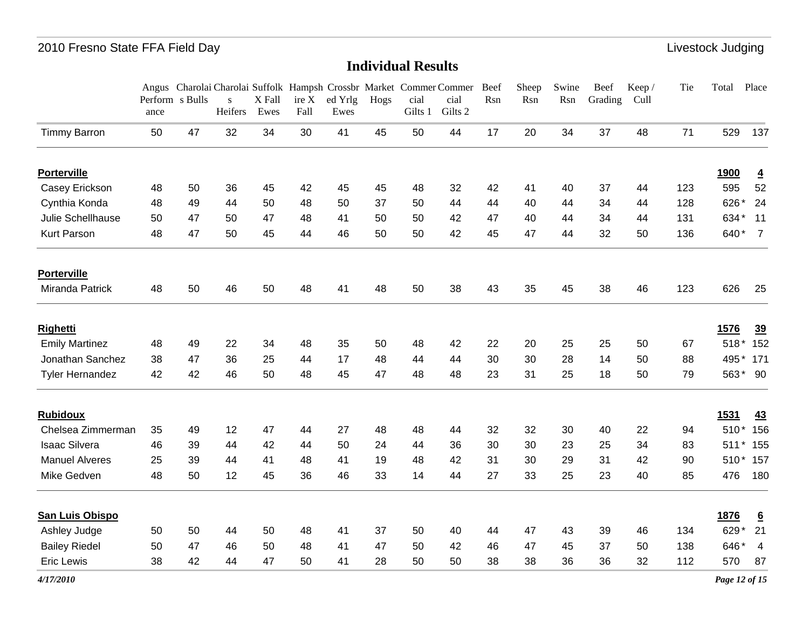### **Individual Results**

|                        | Perform s Bulls<br>ance |    | $\mathbf{s}$<br>Heifers | X Fall<br>Ewes | ire X<br>Fall | ed Yrlg<br>Ewes | Hogs | cial<br>Gilts 1 | Angus Charolai Charolai Suffolk Hampsh Crossbr Market Commer Commer<br>cial<br>Gilts 2 | Beef<br>Rsn | Sheep<br>Rsn | Swine<br>Rsn | Beef<br>Grading | Keep /<br>Cull | Tie | Total          | Place           |
|------------------------|-------------------------|----|-------------------------|----------------|---------------|-----------------|------|-----------------|----------------------------------------------------------------------------------------|-------------|--------------|--------------|-----------------|----------------|-----|----------------|-----------------|
| <b>Timmy Barron</b>    | 50                      | 47 | 32                      | 34             | 30            | 41              | 45   | 50              | 44                                                                                     | 17          | 20           | 34           | 37              | 48             | 71  | 529            | 137             |
| <b>Porterville</b>     |                         |    |                         |                |               |                 |      |                 |                                                                                        |             |              |              |                 |                |     | <b>1900</b>    | $\overline{4}$  |
| Casey Erickson         | 48                      | 50 | 36                      | 45             | 42            | 45              | 45   | 48              | 32                                                                                     | 42          | 41           | 40           | 37              | 44             | 123 | 595            | 52              |
| Cynthia Konda          | 48                      | 49 | 44                      | 50             | 48            | 50              | 37   | 50              | 44                                                                                     | 44          | 40           | 44           | 34              | 44             | 128 | 626*           | 24              |
| Julie Schellhause      | 50                      | 47 | 50                      | 47             | 48            | 41              | 50   | 50              | 42                                                                                     | 47          | 40           | 44           | 34              | 44             | 131 | 634*           | 11              |
| Kurt Parson            | 48                      | 47 | 50                      | 45             | 44            | 46              | 50   | 50              | 42                                                                                     | 45          | 47           | 44           | 32              | 50             | 136 | 640*           | $\overline{7}$  |
| <b>Porterville</b>     |                         |    |                         |                |               |                 |      |                 |                                                                                        |             |              |              |                 |                |     |                |                 |
| Miranda Patrick        | 48                      | 50 | 46                      | 50             | 48            | 41              | 48   | 50              | 38                                                                                     | 43          | 35           | 45           | 38              | 46             | 123 | 626            | 25              |
| <b>Righetti</b>        |                         |    |                         |                |               |                 |      |                 |                                                                                        |             |              |              |                 |                |     | 1576           | 39              |
| <b>Emily Martinez</b>  | 48                      | 49 | 22                      | 34             | 48            | 35              | 50   | 48              | 42                                                                                     | 22          | 20           | 25           | 25              | 50             | 67  | $518*$         | 152             |
| Jonathan Sanchez       | 38                      | 47 | 36                      | 25             | 44            | 17              | 48   | 44              | 44                                                                                     | 30          | 30           | 28           | 14              | 50             | 88  | 495            | 171             |
| Tyler Hernandez        | 42                      | 42 | 46                      | 50             | 48            | 45              | 47   | 48              | 48                                                                                     | 23          | 31           | 25           | 18              | 50             | 79  |                | 563* 90         |
| <b>Rubidoux</b>        |                         |    |                         |                |               |                 |      |                 |                                                                                        |             |              |              |                 |                |     | 1531           | 43              |
| Chelsea Zimmerman      | 35                      | 49 | 12                      | 47             | 44            | 27              | 48   | 48              | 44                                                                                     | 32          | 32           | 30           | 40              | 22             | 94  | $510*$         | 156             |
| <b>Isaac Silvera</b>   | 46                      | 39 | 44                      | 42             | 44            | 50              | 24   | 44              | 36                                                                                     | 30          | 30           | 23           | 25              | 34             | 83  | 511<br>$\star$ | 155             |
| <b>Manuel Alveres</b>  | 25                      | 39 | 44                      | 41             | 48            | 41              | 19   | 48              | 42                                                                                     | 31          | 30           | 29           | 31              | 42             | 90  | 510<br>*       | 157             |
| Mike Gedven            | 48                      | 50 | 12                      | 45             | 36            | 46              | 33   | 14              | 44                                                                                     | 27          | 33           | 25           | 23              | 40             | 85  | 476            | 180             |
| <b>San Luis Obispo</b> |                         |    |                         |                |               |                 |      |                 |                                                                                        |             |              |              |                 |                |     | 1876           | $\underline{6}$ |
| Ashley Judge           | 50                      | 50 | 44                      | 50             | 48            | 41              | 37   | 50              | 40                                                                                     | 44          | 47           | 43           | 39              | 46             | 134 | 629*           | 21              |
| <b>Bailey Riedel</b>   | 50                      | 47 | 46                      | 50             | 48            | 41              | 47   | 50              | 42                                                                                     | 46          | 47           | 45           | 37              | 50             | 138 | 646*           | $\overline{4}$  |
| <b>Eric Lewis</b>      | 38                      | 42 | 44                      | 47             | 50            | 41              | 28   | 50              | 50                                                                                     | 38          | 38           | 36           | 36              | 32             | 112 | 570            | 87              |

*4/17/2010*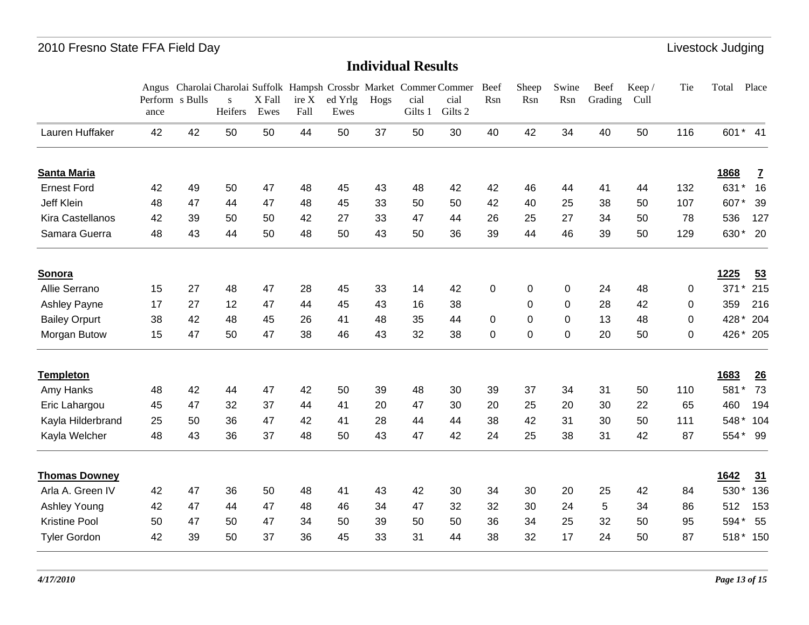|                      |                         |    |                         |                |               |                 |      |                 | Angus Charolai Charolai Suffolk Hampsh Crossbr Market Commer Commer | Beef        | Sheep       | Swine          | Beef    | Keep/ | Tie      | Total          | Place          |
|----------------------|-------------------------|----|-------------------------|----------------|---------------|-----------------|------|-----------------|---------------------------------------------------------------------|-------------|-------------|----------------|---------|-------|----------|----------------|----------------|
|                      | Perform s Bulls<br>ance |    | $\mathbf{s}$<br>Heifers | X Fall<br>Ewes | ire X<br>Fall | ed Yrlg<br>Ewes | Hogs | cial<br>Gilts 1 | cial<br>Gilts 2                                                     | Rsn         | Rsn         | Rsn            | Grading | Cull  |          |                |                |
| Lauren Huffaker      | 42                      | 42 | 50                      | 50             | 44            | 50              | 37   | 50              | 30                                                                  | 40          | 42          | 34             | 40      | 50    | 116      | 601* 41        |                |
| Santa Maria          |                         |    |                         |                |               |                 |      |                 |                                                                     |             |             |                |         |       |          | 1868           | $\overline{1}$ |
| <b>Ernest Ford</b>   | 42                      | 49 | 50                      | 47             | 48            | 45              | 43   | 48              | 42                                                                  | 42          | 46          | 44             | 41      | 44    | 132      | 631*           | 16             |
| <b>Jeff Klein</b>    | 48                      | 47 | 44                      | 47             | 48            | 45              | 33   | 50              | 50                                                                  | 42          | 40          | 25             | 38      | 50    | 107      | 607*           | 39             |
| Kira Castellanos     | 42                      | 39 | 50                      | 50             | 42            | 27              | 33   | 47              | 44                                                                  | 26          | 25          | 27             | 34      | 50    | 78       | 536            | 127            |
| Samara Guerra        | 48                      | 43 | 44                      | 50             | 48            | 50              | 43   | 50              | 36                                                                  | 39          | 44          | 46             | 39      | 50    | 129      | 630*           | 20             |
| Sonora               |                         |    |                         |                |               |                 |      |                 |                                                                     |             |             |                |         |       |          | 1225           | 53             |
| Allie Serrano        | 15                      | 27 | 48                      | 47             | 28            | 45              | 33   | 14              | 42                                                                  | $\mathbf 0$ | 0           | $\mathbf 0$    | 24      | 48    | $\Omega$ | $\star$<br>371 | 215            |
| Ashley Payne         | 17                      | 27 | 12                      | 47             | 44            | 45              | 43   | 16              | 38                                                                  |             | 0           | $\overline{0}$ | 28      | 42    | $\Omega$ | 359            | 216            |
| <b>Bailey Orpurt</b> | 38                      | 42 | 48                      | 45             | 26            | 41              | 48   | 35              | 44                                                                  | $\Omega$    | $\mathbf 0$ | $\overline{0}$ | 13      | 48    | $\Omega$ | 428*           | 204            |
| Morgan Butow         | 15                      | 47 | 50                      | 47             | 38            | 46              | 43   | 32              | 38                                                                  | 0           | 0           | $\mathbf 0$    | 20      | 50    | 0        | 426*           | 205            |
| <b>Templeton</b>     |                         |    |                         |                |               |                 |      |                 |                                                                     |             |             |                |         |       |          | 1683           | 26             |
| Amy Hanks            | 48                      | 42 | 44                      | 47             | 42            | 50              | 39   | 48              | 30                                                                  | 39          | 37          | 34             | 31      | 50    | 110      | 581*           | 73             |
| Eric Lahargou        | 45                      | 47 | 32                      | 37             | 44            | 41              | 20   | 47              | 30                                                                  | 20          | 25          | 20             | 30      | 22    | 65       | 460            | 194            |
| Kayla Hilderbrand    | 25                      | 50 | 36                      | 47             | 42            | 41              | 28   | 44              | 44                                                                  | 38          | 42          | 31             | 30      | 50    | 111      | 548*           | 104            |
| Kayla Welcher        | 48                      | 43 | 36                      | 37             | 48            | 50              | 43   | 47              | 42                                                                  | 24          | 25          | 38             | 31      | 42    | 87       | 554*           | - 99           |
| <b>Thomas Downey</b> |                         |    |                         |                |               |                 |      |                 |                                                                     |             |             |                |         |       |          | 1642           | 31             |
| Arla A. Green IV     | 42                      | 47 | 36                      | 50             | 48            | 41              | 43   | 42              | 30                                                                  | 34          | 30          | 20             | 25      | 42    | 84       | 530*           | 136            |
| Ashley Young         | 42                      | 47 | 44                      | 47             | 48            | 46              | 34   | 47              | 32                                                                  | 32          | 30          | 24             | 5       | 34    | 86       | 512            | 153            |
| <b>Kristine Pool</b> | 50                      | 47 | 50                      | 47             | 34            | 50              | 39   | 50              | 50                                                                  | 36          | 34          | 25             | 32      | 50    | 95       | 594*           | 55             |
| <b>Tyler Gordon</b>  | 42                      | 39 | 50                      | 37             | 36            | 45              | 33   | 31              | 44                                                                  | 38          | 32          | 17             | 24      | 50    | 87       | $518*$         | 150            |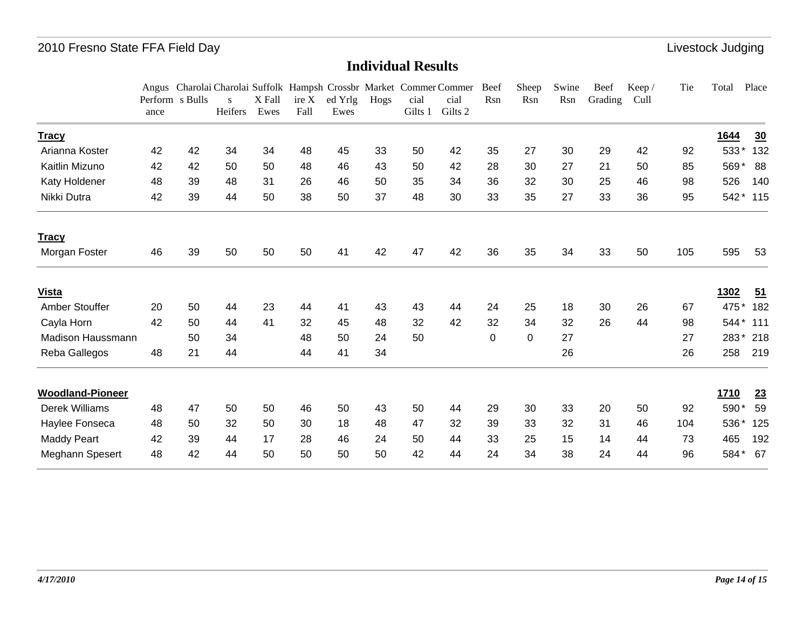|                         |      |                 |               |                |               |                 |      |                 | Angus Charolai Charolai Suffolk Hampsh Crossbr Market Commer Commer | Beef        | Sheep       | Swine | Beef    | Keep/ | Tie | Total  | Place            |
|-------------------------|------|-----------------|---------------|----------------|---------------|-----------------|------|-----------------|---------------------------------------------------------------------|-------------|-------------|-------|---------|-------|-----|--------|------------------|
|                         | ance | Perform s Bulls | S.<br>Heifers | X Fall<br>Ewes | ire X<br>Fall | ed Yrlg<br>Ewes | Hogs | cial<br>Gilts 1 | cial<br>Gilts 2                                                     | Rsn         | Rsn         | Rsn   | Grading | Cull  |     |        |                  |
| <b>Tracy</b>            |      |                 |               |                |               |                 |      |                 |                                                                     |             |             |       |         |       |     | 1644   | $\underline{30}$ |
| Arianna Koster          | 42   | 42              | 34            | 34             | 48            | 45              | 33   | 50              | 42                                                                  | 35          | 27          | 30    | 29      | 42    | 92  | 533*   | 132              |
| Kaitlin Mizuno          | 42   | 42              | 50            | 50             | 48            | 46              | 43   | 50              | 42                                                                  | 28          | 30          | 27    | 21      | 50    | 85  | 569*   | 88               |
| Katy Holdener           | 48   | 39              | 48            | 31             | 26            | 46              | 50   | 35              | 34                                                                  | 36          | 32          | 30    | 25      | 46    | 98  | 526    | 140              |
| Nikki Dutra             | 42   | 39              | 44            | 50             | 38            | 50              | 37   | 48              | 30                                                                  | 33          | 35          | 27    | 33      | 36    | 95  | $542*$ | 115              |
| <b>Tracy</b>            |      |                 |               |                |               |                 |      |                 |                                                                     |             |             |       |         |       |     |        |                  |
| Morgan Foster           | 46   | 39              | 50            | 50             | 50            | 41              | 42   | 47              | 42                                                                  | 36          | 35          | 34    | 33      | 50    | 105 | 595    | 53               |
| <b>Vista</b>            |      |                 |               |                |               |                 |      |                 |                                                                     |             |             |       |         |       |     | 1302   | $\overline{51}$  |
| Amber Stouffer          | 20   | 50              | 44            | 23             | 44            | 41              | 43   | 43              | 44                                                                  | 24          | 25          | 18    | 30      | 26    | 67  | 475*   | 182              |
| Cayla Horn              | 42   | 50              | 44            | 41             | 32            | 45              | 48   | 32              | 42                                                                  | 32          | 34          | 32    | 26      | 44    | 98  | 544*   | 111              |
| Madison Haussmann       |      | 50              | 34            |                | 48            | 50              | 24   | 50              |                                                                     | $\mathbf 0$ | $\mathbf 0$ | 27    |         |       | 27  | 283*   | 218              |
| Reba Gallegos           | 48   | 21              | 44            |                | 44            | 41              | 34   |                 |                                                                     |             |             | 26    |         |       | 26  | 258    | 219              |
| <b>Woodland-Pioneer</b> |      |                 |               |                |               |                 |      |                 |                                                                     |             |             |       |         |       |     | 1710   | 23               |
| Derek Williams          | 48   | 47              | 50            | 50             | 46            | 50              | 43   | 50              | 44                                                                  | 29          | 30          | 33    | 20      | 50    | 92  | 590*   | 59               |
| Haylee Fonseca          | 48   | 50              | 32            | 50             | 30            | 18              | 48   | 47              | 32                                                                  | 39          | 33          | 32    | 31      | 46    | 104 | 536*   | 125              |
| <b>Maddy Peart</b>      | 42   | 39              | 44            | 17             | 28            | 46              | 24   | 50              | 44                                                                  | 33          | 25          | 15    | 14      | 44    | 73  | 465    | 192              |
| Meghann Spesert         | 48   | 42              | 44            | 50             | 50            | 50              | 50   | 42              | 44                                                                  | 24          | 34          | 38    | 24      | 44    | 96  | 584*   | 67               |